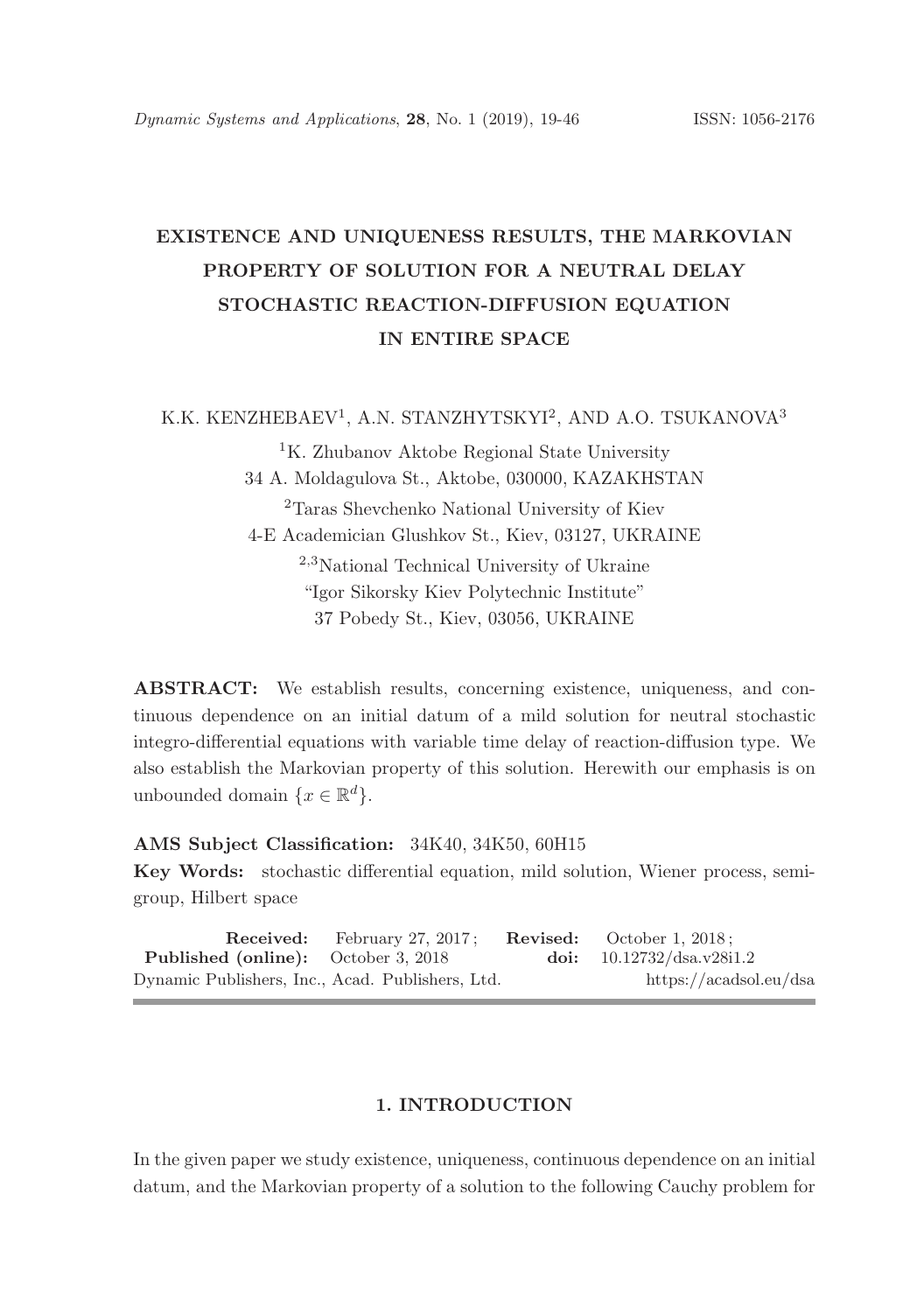# EXISTENCE AND UNIQUENESS RESULTS, THE MARKOVIAN PROPERTY OF SOLUTION FOR A NEUTRAL DELAY STOCHASTIC REACTION-DIFFUSION EQUATION IN ENTIRE SPACE

K.K. KENZHEBAEV<sup>1</sup>, A.N. STANZHYTSKYI<sup>2</sup>, AND A.O. TSUKANOVA<sup>3</sup>

<sup>1</sup>K. Zhubanov Aktobe Regional State University 34 A. Moldagulova St., Aktobe, 030000, KAZAKHSTAN <sup>2</sup>Taras Shevchenko National University of Kiev 4-E Academician Glushkov St., Kiev, 03127, UKRAINE <sup>2</sup>,<sup>3</sup>National Technical University of Ukraine "Igor Sikorsky Kiev Polytechnic Institute" 37 Pobedy St., Kiev, 03056, UKRAINE

ABSTRACT: We establish results, concerning existence, uniqueness, and continuous dependence on an initial datum of a mild solution for neutral stochastic integro-differential equations with variable time delay of reaction-diffusion type. We also establish the Markovian property of this solution. Herewith our emphasis is on unbounded domain  $\{x \in \mathbb{R}^d\}.$ 

## AMS Subject Classification: 34K40, 34K50, 60H15

Key Words: stochastic differential equation, mild solution, Wiener process, semigroup, Hilbert space

Received: February 27, 2017; Revised: October 1, 2018; **Published (online):** October 3, 2018 doi:  $10.12732/\text{ds}$ a.v28i1.2 Dynamic Publishers, Inc., Acad. Publishers, Ltd. https://acadsol.eu/dsa

# 1. INTRODUCTION

In the given paper we study existence, uniqueness, continuous dependence on an initial datum, and the Markovian property of a solution to the following Cauchy problem for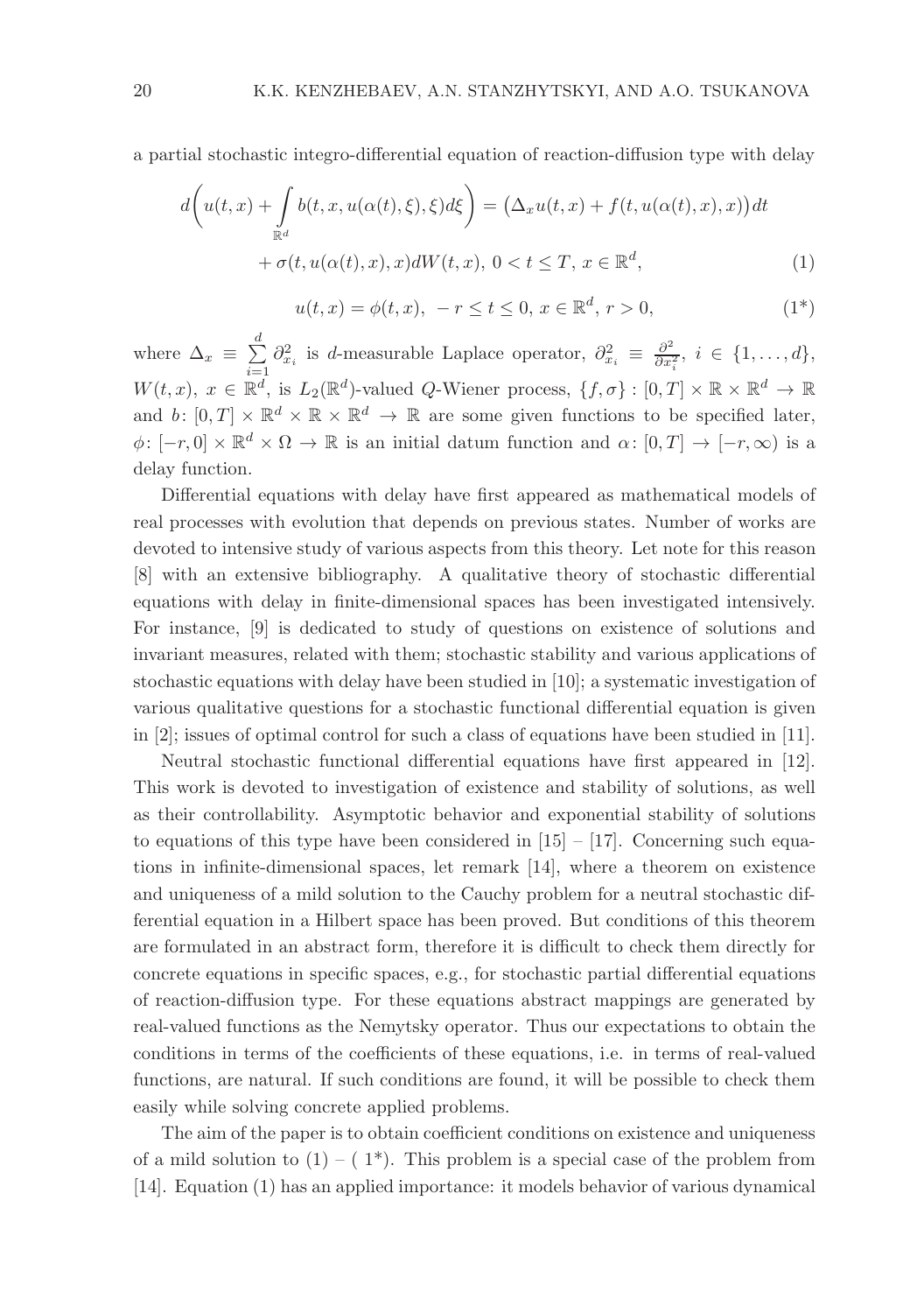a partial stochastic integro-differential equation of reaction-diffusion type with delay

$$
d\left(u(t,x) + \int_{\mathbb{R}^d} b(t,x,u(\alpha(t),\xi),\xi)d\xi\right) = \left(\Delta_x u(t,x) + f(t,u(\alpha(t),x),x)\right)dt
$$

$$
+ \sigma(t,u(\alpha(t),x),x)dW(t,x), 0 < t \leq T, x \in \mathbb{R}^d,
$$
 (1)

$$
u(t,x) = \phi(t,x), \ -r \le t \le 0, \ x \in \mathbb{R}^d, \ r > 0,
$$
\n<sup>(1\*)</sup>

where  $\Delta_x \equiv \sum^d$  $i=1$  $\partial_{x_i}^2$  is *d*-measurable Laplace operator,  $\partial_{x_i}^2 \equiv \frac{\partial^2}{\partial x_i^2}$  $\frac{\partial^2}{\partial x_i^2}, i \in \{1,\ldots,d\},\$  $W(t, x), x \in \mathbb{R}^d$ , is  $L_2(\mathbb{R}^d)$ -valued Q-Wiener process,  $\{f, \sigma\} : [0, T] \times \mathbb{R} \times \mathbb{R}^d \to \mathbb{R}$ and  $b: [0,T] \times \mathbb{R}^d \times \mathbb{R} \times \mathbb{R}^d \to \mathbb{R}$  are some given functions to be specified later,  $\phi: [-r, 0] \times \mathbb{R}^d \times \Omega \to \mathbb{R}$  is an initial datum function and  $\alpha: [0, T] \to [-r, \infty)$  is a delay function.

Differential equations with delay have first appeared as mathematical models of real processes with evolution that depends on previous states. Number of works are devoted to intensive study of various aspects from this theory. Let note for this reason [8] with an extensive bibliography. A qualitative theory of stochastic differential equations with delay in finite-dimensional spaces has been investigated intensively. For instance, [9] is dedicated to study of questions on existence of solutions and invariant measures, related with them; stochastic stability and various applications of stochastic equations with delay have been studied in [10]; a systematic investigation of various qualitative questions for a stochastic functional differential equation is given in [2]; issues of optimal control for such a class of equations have been studied in [11].

Neutral stochastic functional differential equations have first appeared in [12]. This work is devoted to investigation of existence and stability of solutions, as well as their controllability. Asymptotic behavior and exponential stability of solutions to equations of this type have been considered in  $[15] - [17]$ . Concerning such equations in infinite-dimensional spaces, let remark [14], where a theorem on existence and uniqueness of a mild solution to the Cauchy problem for a neutral stochastic differential equation in a Hilbert space has been proved. But conditions of this theorem are formulated in an abstract form, therefore it is difficult to check them directly for concrete equations in specific spaces, e.g., for stochastic partial differential equations of reaction-diffusion type. For these equations abstract mappings are generated by real-valued functions as the Nemytsky operator. Thus our expectations to obtain the conditions in terms of the coefficients of these equations, i.e. in terms of real-valued functions, are natural. If such conditions are found, it will be possible to check them easily while solving concrete applied problems.

The aim of the paper is to obtain coefficient conditions on existence and uniqueness of a mild solution to  $(1) - (1^*)$ . This problem is a special case of the problem from [14]. Equation (1) has an applied importance: it models behavior of various dynamical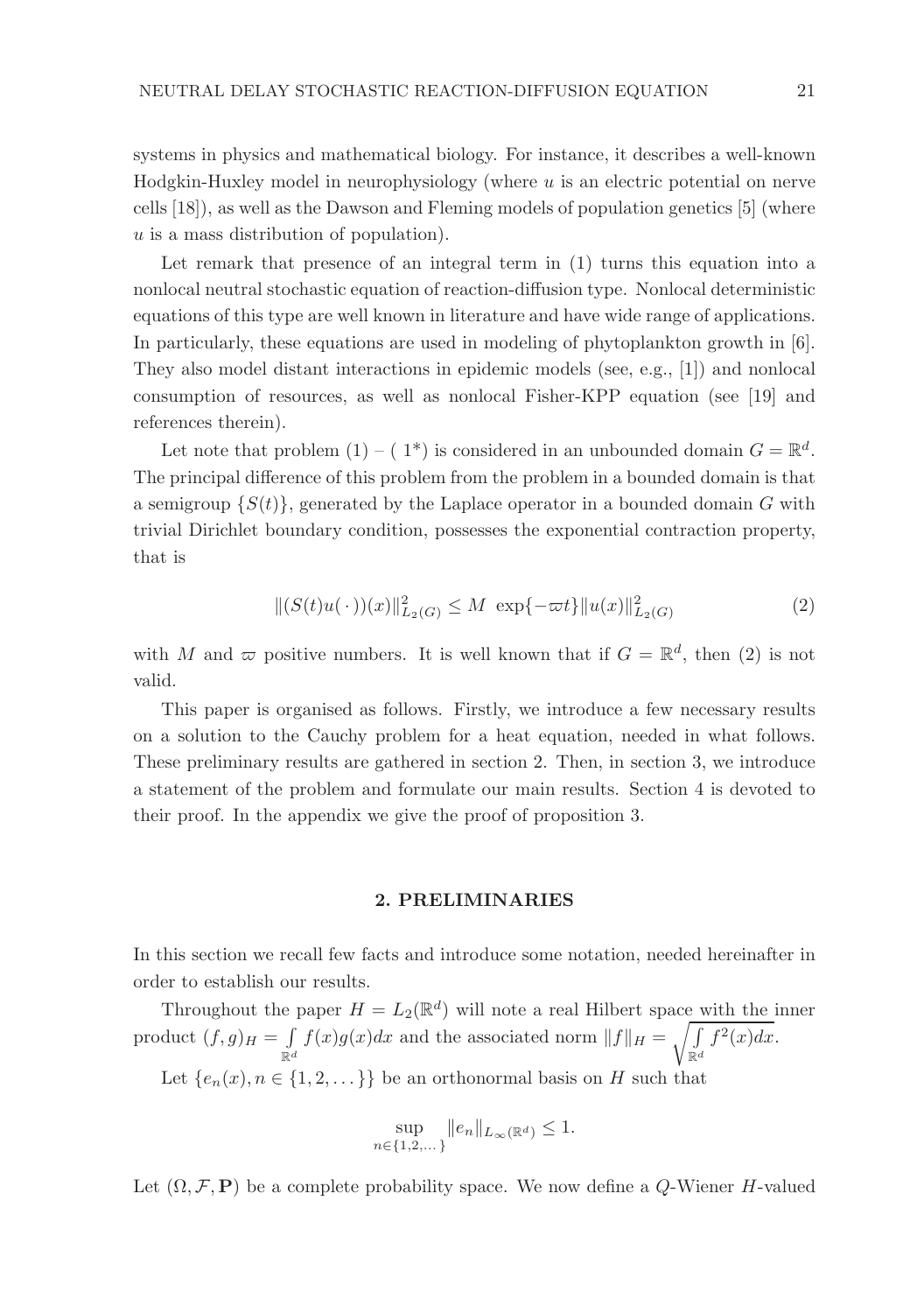systems in physics and mathematical biology. For instance, it describes a well-known Hodgkin-Huxley model in neurophysiology (where  $u$  is an electric potential on nerve cells [18]), as well as the Dawson and Fleming models of population genetics [5] (where  $u$  is a mass distribution of population).

Let remark that presence of an integral term in  $(1)$  turns this equation into a nonlocal neutral stochastic equation of reaction-diffusion type. Nonlocal deterministic equations of this type are well known in literature and have wide range of applications. In particularly, these equations are used in modeling of phytoplankton growth in [6]. They also model distant interactions in epidemic models (see, e.g., [1]) and nonlocal consumption of resources, as well as nonlocal Fisher-KPP equation (see [19] and references therein).

Let note that problem  $(1) - (1^*)$  is considered in an unbounded domain  $G = \mathbb{R}^d$ . The principal difference of this problem from the problem in a bounded domain is that a semigroup  $\{S(t)\}\$ , generated by the Laplace operator in a bounded domain G with trivial Dirichlet boundary condition, possesses the exponential contraction property, that is

$$
||(S(t)u(\cdot))(x)||_{L_2(G)}^2 \le M \exp{\{-\varpi t\}}||u(x)||_{L_2(G)}^2 \tag{2}
$$

with M and  $\varpi$  positive numbers. It is well known that if  $G = \mathbb{R}^d$ , then (2) is not valid.

This paper is organised as follows. Firstly, we introduce a few necessary results on a solution to the Cauchy problem for a heat equation, needed in what follows. These preliminary results are gathered in section 2. Then, in section 3, we introduce a statement of the problem and formulate our main results. Section 4 is devoted to their proof. In the appendix we give the proof of proposition 3.

## 2. PRELIMINARIES

In this section we recall few facts and introduce some notation, needed hereinafter in order to establish our results.

Throughout the paper  $H = L_2(\mathbb{R}^d)$  will note a real Hilbert space with the inner product  $(f,g)_H = \int$  $\int_{\mathbb{R}^d} f(x)g(x)dx$  and the associated norm  $||f||_H = \sqrt{\int_{\mathbb{R}^d} f(x)}$  $\int\limits_{\mathbb{R}^d} f^2(x)dx.$ Let  ${e_n(x), n \in \{1, 2, \dots\}}$  be an orthonormal basis on H such that

$$
\sup_{n \in \{1, 2, \dots\}} \|e_n\|_{L_\infty(\mathbb{R}^d)} \le 1.
$$

Let  $(\Omega, \mathcal{F}, P)$  be a complete probability space. We now define a Q-Wiener H-valued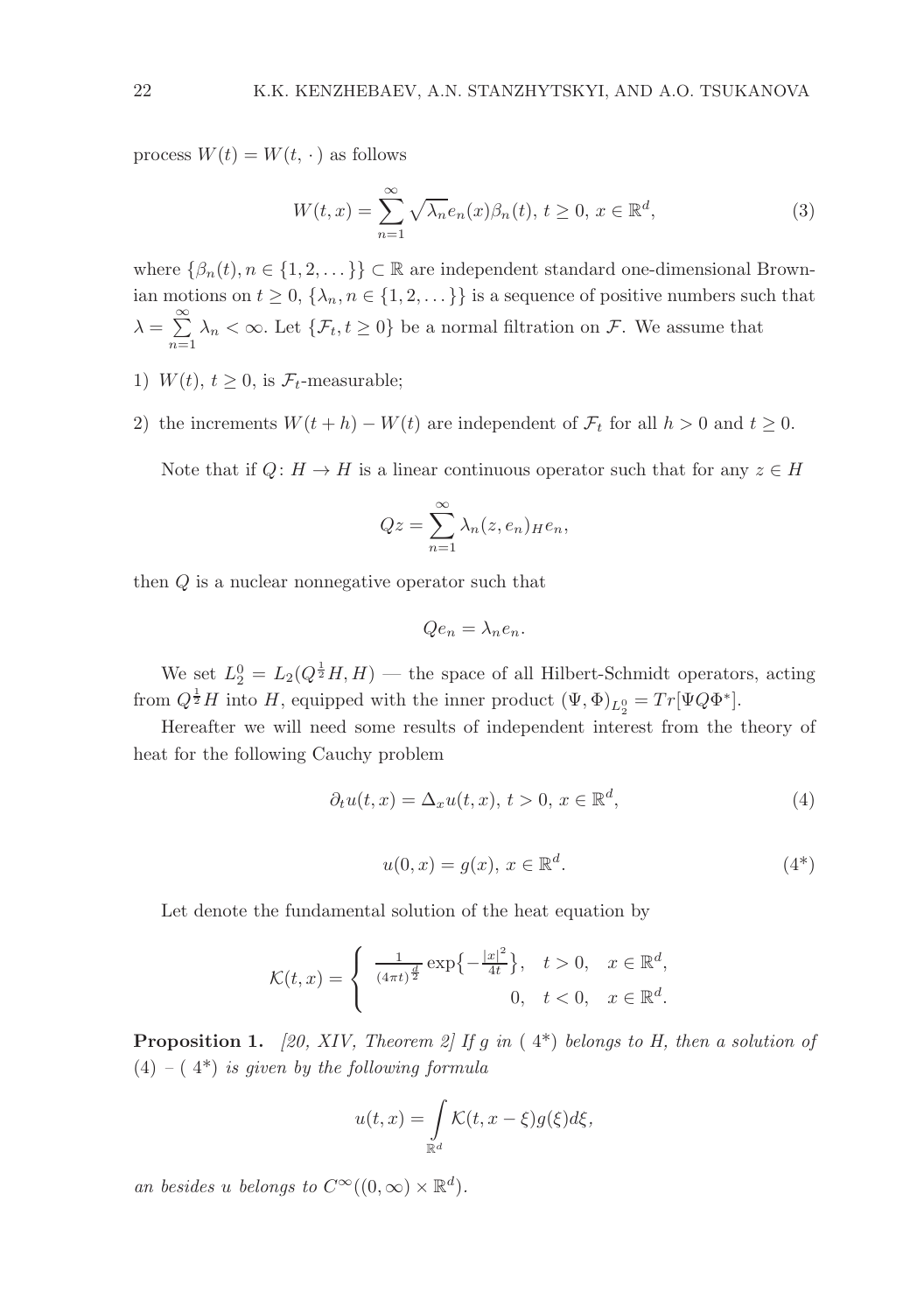process  $W(t) = W(t, \cdot)$  as follows

$$
W(t,x) = \sum_{n=1}^{\infty} \sqrt{\lambda_n} e_n(x) \beta_n(t), \ t \ge 0, \ x \in \mathbb{R}^d,
$$
 (3)

where  $\{\beta_n(t), n \in \{1, 2, \dots\}\}\subset \mathbb{R}$  are independent standard one-dimensional Brownian motions on  $t \geq 0$ ,  $\{\lambda_n, n \in \{1, 2, ...\} \}$  is a sequence of positive numbers such that  $\lambda = \sum^{\infty}$  $\sum_{n=1} \lambda_n < \infty$ . Let  $\{\mathcal{F}_t, t \geq 0\}$  be a normal filtration on  $\mathcal{F}$ . We assume that

- 1)  $W(t)$ ,  $t > 0$ , is  $\mathcal{F}_t$ -measurable;
- 2) the increments  $W(t + h) W(t)$  are independent of  $\mathcal{F}_t$  for all  $h > 0$  and  $t \geq 0$ .

Note that if  $Q: H \to H$  is a linear continuous operator such that for any  $z \in H$ 

$$
Qz = \sum_{n=1}^{\infty} \lambda_n(z, e_n)_{H} e_n,
$$

then Q is a nuclear nonnegative operator such that

$$
Qe_n = \lambda_n e_n.
$$

We set  $L_2^0 = L_2(Q^{\frac{1}{2}}H, H)$  — the space of all Hilbert-Schmidt operators, acting from  $Q^{\frac{1}{2}}H$  into H, equipped with the inner product  $(\Psi, \Phi)_{L_2^0} = Tr[\Psi Q \Phi^*].$ 

Hereafter we will need some results of independent interest from the theory of heat for the following Cauchy problem

$$
\partial_t u(t, x) = \Delta_x u(t, x), \, t > 0, \, x \in \mathbb{R}^d,\tag{4}
$$

$$
u(0,x) = g(x), x \in \mathbb{R}^d. \tag{4*}
$$

Let denote the fundamental solution of the heat equation by

$$
\mathcal{K}(t,x) = \begin{cases} \frac{1}{(4\pi t)^{\frac{d}{2}}} \exp\left\{-\frac{|x|^2}{4t}\right\}, & t > 0, \quad x \in \mathbb{R}^d, \\ 0, & t < 0, \quad x \in \mathbb{R}^d. \end{cases}
$$

**Proposition 1.** [20, XIV, Theorem 2] If g in (4\*) belongs to H, then a solution of  $(4) - (4^*)$  is given by the following formula

$$
u(t,x) = \int_{\mathbb{R}^d} \mathcal{K}(t, x - \xi) g(\xi) d\xi,
$$

an besides u belongs to  $C^{\infty}((0,\infty) \times \mathbb{R}^d)$ .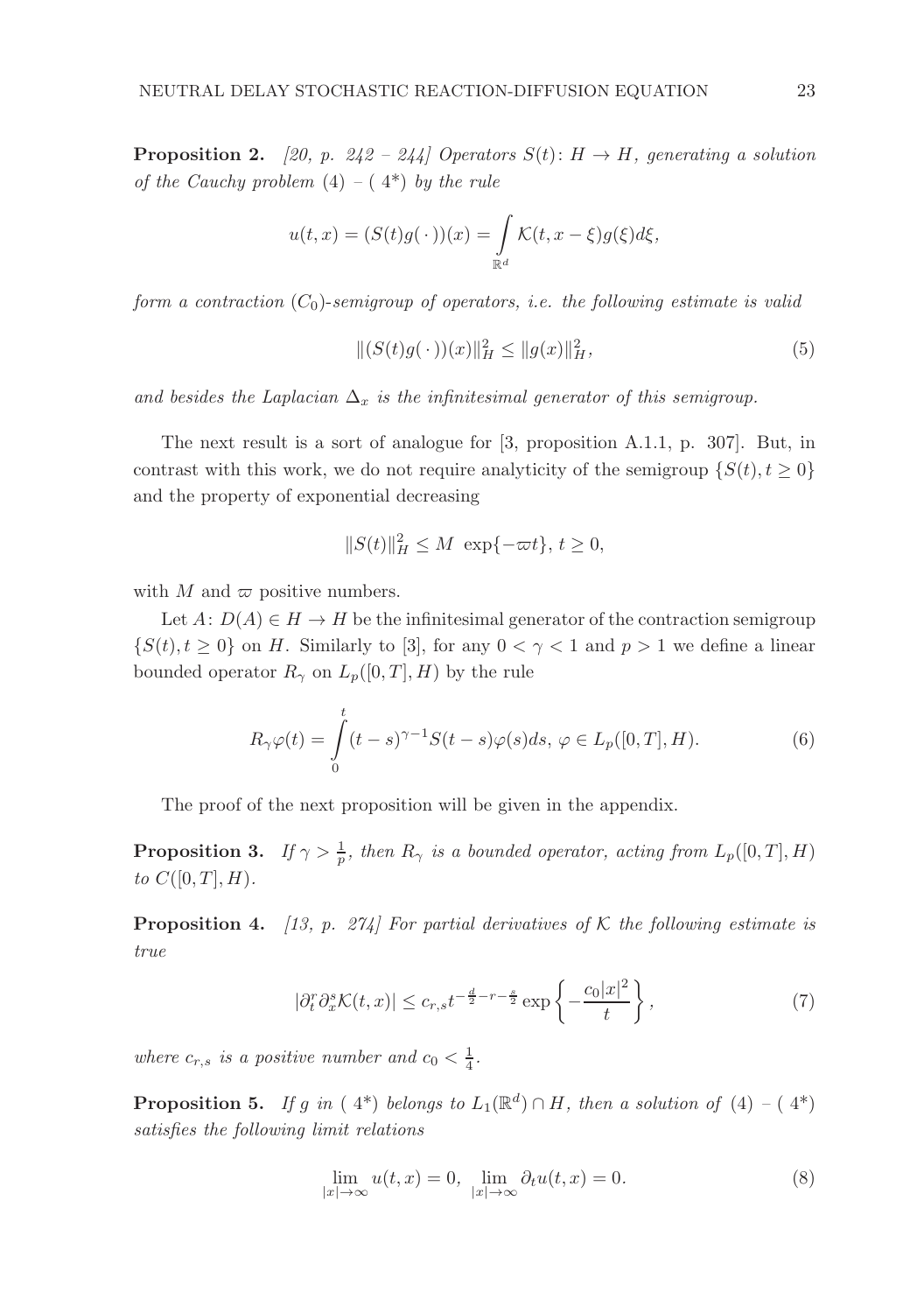**Proposition 2.** [20, p. 242 – 244] Operators  $S(t): H \to H$ , generating a solution of the Cauchy problem  $(4) - (4^*)$  by the rule

$$
u(t,x) = (S(t)g(\cdot))(x) = \int_{\mathbb{R}^d} \mathcal{K}(t, x - \xi)g(\xi)d\xi,
$$

form a contraction  $(C_0)$ -semigroup of operators, i.e. the following estimate is valid

$$
||(S(t)g(\,\cdot\,))(x)||_H^2 \le ||g(x)||_H^2,\tag{5}
$$

and besides the Laplacian  $\Delta_x$  is the infinitesimal generator of this semigroup.

The next result is a sort of analogue for [3, proposition A.1.1, p. 307]. But, in contrast with this work, we do not require analyticity of the semigroup  $\{S(t), t \geq 0\}$ and the property of exponential decreasing

$$
||S(t)||_H^2 \le M \exp{-\varpi t}, t \ge 0,
$$

with M and  $\varpi$  positive numbers.

Let  $A: D(A) \in H \to H$  be the infinitesimal generator of the contraction semigroup  $\{S(t), t \geq 0\}$  on H. Similarly to [3], for any  $0 < \gamma < 1$  and  $p > 1$  we define a linear bounded operator  $R_{\gamma}$  on  $L_p([0,T], H)$  by the rule

$$
R_{\gamma}\varphi(t) = \int_{0}^{t} (t-s)^{\gamma-1} S(t-s)\varphi(s)ds, \ \varphi \in L_{p}([0, T], H). \tag{6}
$$

The proof of the next proposition will be given in the appendix.

**Proposition 3.** If  $\gamma > \frac{1}{p}$ , then  $R_{\gamma}$  is a bounded operator, acting from  $L_p([0,T], H)$ to  $C([0, T], H)$ .

**Proposition 4.** [13, p. 274] For partial derivatives of K the following estimate is true

$$
|\partial_t^r \partial_x^s \mathcal{K}(t,x)| \leq c_{r,s} t^{-\frac{d}{2}-r-\frac{s}{2}} \exp\left\{-\frac{c_0|x|^2}{t}\right\},\tag{7}
$$

where  $c_{r,s}$  is a positive number and  $c_0 < \frac{1}{4}$ .

**Proposition 5.** If g in  $(4^*)$  belongs to  $L_1(\mathbb{R}^d) \cap H$ , then a solution of  $(4) - (4^*)$ satisfies the following limit relations

$$
\lim_{|x| \to \infty} u(t, x) = 0, \quad \lim_{|x| \to \infty} \partial_t u(t, x) = 0.
$$
\n(8)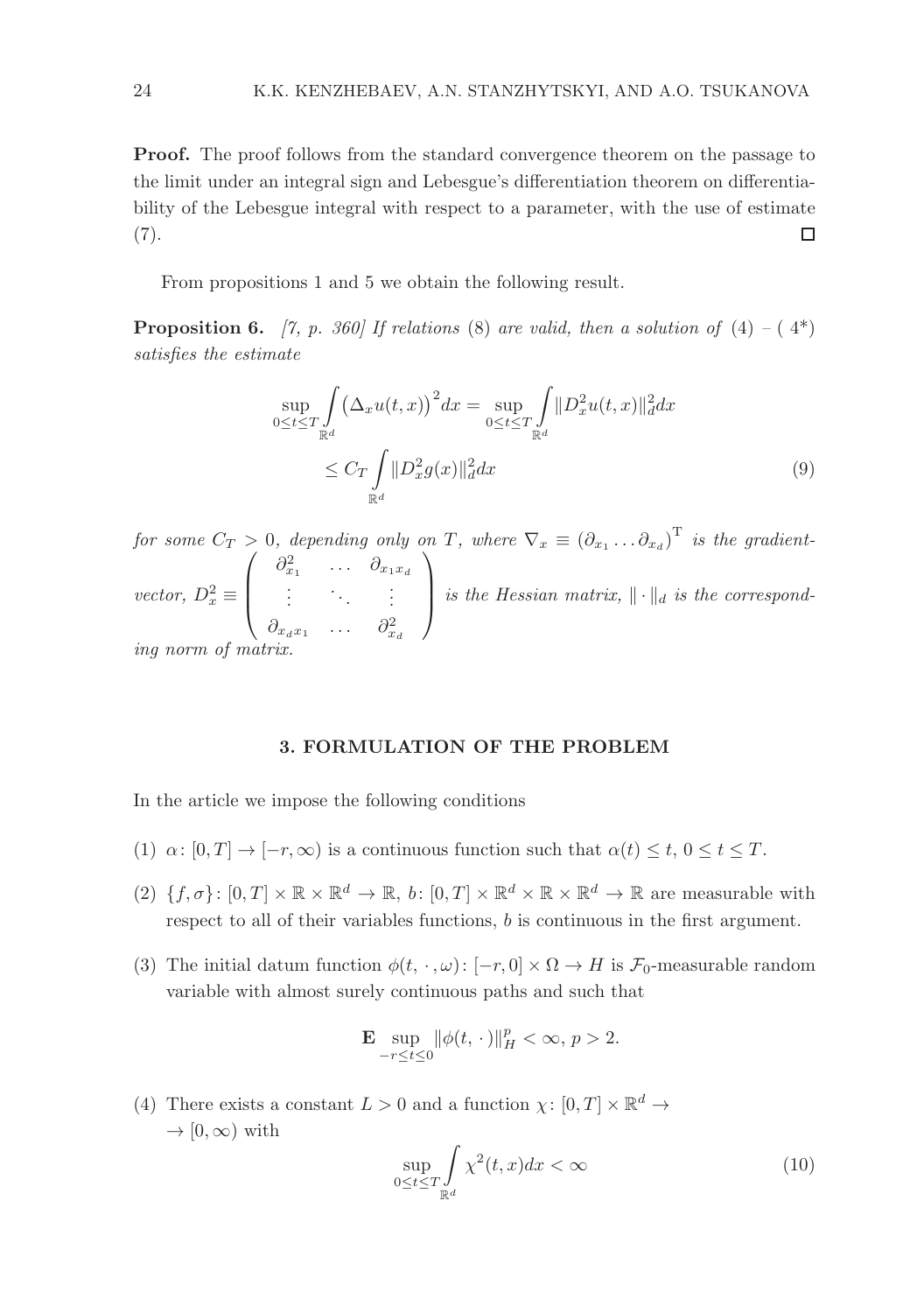Proof. The proof follows from the standard convergence theorem on the passage to the limit under an integral sign and Lebesgue's differentiation theorem on differentiability of the Lebesgue integral with respect to a parameter, with the use of estimate  $(7).$  $\Box$ 

From propositions 1 and 5 we obtain the following result.

**Proposition 6.** [7, p. 360] If relations (8) are valid, then a solution of  $(4) - (4^*)$ satisfies the estimate

$$
\sup_{0 \le t \le T} \int_{\mathbb{R}^d} (\Delta_x u(t, x))^2 dx = \sup_{0 \le t \le T} \int_{\mathbb{R}^d} ||D_x^2 u(t, x)||_d^2 dx
$$
\n
$$
\le C_T \int_{\mathbb{R}^d} ||D_x^2 g(x)||_d^2 dx \tag{9}
$$

for some  $C_T > 0$ , depending only on T, where  $\nabla_x \equiv (\partial_{x_1} \dots \partial_{x_d})^T$  is the gradientvector,  $D_x^2 \equiv$  $\sqrt{ }$  $\overline{\phantom{a}}$  $\partial_{x_1}^2$  ...  $\partial_{x_1x_d}$ .<br>.<br>.<br>.  $\partial_{x_d x_1} \quad \dots \quad \partial_{x_d}^2$  $\setminus$ is the Hessian matrix,  $\|\cdot\|_d$  is the corresponding norm of  $m$ 

#### 3. FORMULATION OF THE PROBLEM

In the article we impose the following conditions

- (1)  $\alpha: [0, T] \to [-r, \infty)$  is a continuous function such that  $\alpha(t) \leq t, 0 \leq t \leq T$ .
- $(2) \{f, \sigma\} : [0, T] \times \mathbb{R} \times \mathbb{R}^d \to \mathbb{R}, b : [0, T] \times \mathbb{R}^d \times \mathbb{R} \times \mathbb{R}^d \to \mathbb{R}$  are measurable with respect to all of their variables functions, b is continuous in the first argument.
- (3) The initial datum function  $\phi(t, \cdot, \omega): [-r, 0] \times \Omega \to H$  is  $\mathcal{F}_0$ -measurable random variable with almost surely continuous paths and such that

$$
\mathbf{E}\sup_{-r\leq t\leq 0}\lVert \phi(t,\,\cdot\,)\rVert_{H}^{p}<\infty,\,p>2.
$$

(4) There exists a constant  $L > 0$  and a function  $\chi: [0, T] \times \mathbb{R}^d \to$  $\rightarrow$  [0,  $\infty$ ) with

$$
\sup_{0 \le t \le T} \int_{\mathbb{R}^d} \chi^2(t, x) dx < \infty \tag{10}
$$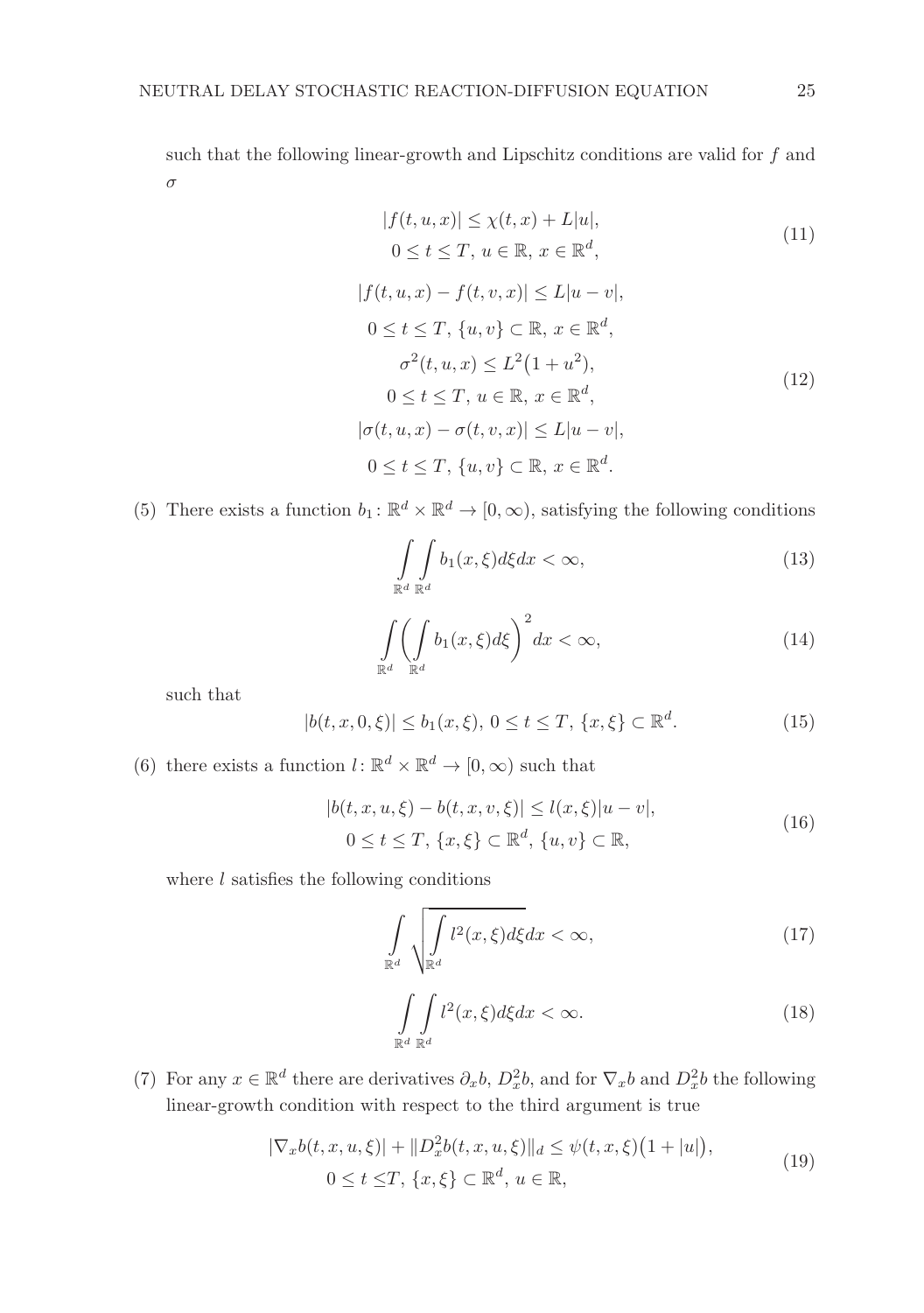such that the following linear-growth and Lipschitz conditions are valid for  $f$  and σ

$$
|f(t, u, x)| \leq \chi(t, x) + L|u|,
$$
  
 
$$
0 \leq t \leq T, u \in \mathbb{R}, x \in \mathbb{R}^d,
$$
 (11)

$$
|f(t, u, x) - f(t, v, x)| \le L|u - v|,
$$
  
\n
$$
0 \le t \le T, \{u, v\} \subset \mathbb{R}, x \in \mathbb{R}^d,
$$
  
\n
$$
\sigma^2(t, u, x) \le L^2(1 + u^2),
$$
  
\n
$$
0 \le t \le T, u \in \mathbb{R}, x \in \mathbb{R}^d,
$$
  
\n
$$
|\sigma(t, u, x) - \sigma(t, v, x)| \le L|u - v|,
$$
  
\n
$$
0 \le t \le T, \{u, v\} \subset \mathbb{R}, x \in \mathbb{R}^d.
$$
  
\n(12)

(5) There exists a function  $b_1: \mathbb{R}^d \times \mathbb{R}^d \to [0, \infty)$ , satisfying the following conditions

$$
\int_{\mathbb{R}^d} \int_{\mathbb{R}^d} b_1(x,\xi) d\xi dx < \infty,
$$
\n(13)

$$
\int_{\mathbb{R}^d} \left( \int_{\mathbb{R}^d} b_1(x,\xi) d\xi \right)^2 dx < \infty,\tag{14}
$$

such that

$$
|b(t, x, 0, \xi)| \le b_1(x, \xi), \ 0 \le t \le T, \ \{x, \xi\} \subset \mathbb{R}^d. \tag{15}
$$

(6) there exists a function  $l: \mathbb{R}^d \times \mathbb{R}^d \to [0, \infty)$  such that

$$
|b(t, x, u, \xi) - b(t, x, v, \xi)| \le l(x, \xi)|u - v|,
$$
  
0 \le t \le T, \{x, \xi\} \subset \mathbb{R}^d, \{u, v\} \subset \mathbb{R}, (16)

where  $l$  satisfies the following conditions

$$
\int_{\mathbb{R}^d} \sqrt{\int_{\mathbb{R}^d} l^2(x,\xi) d\xi} dx < \infty,\tag{17}
$$

$$
\int_{\mathbb{R}^d} \int_{\mathbb{R}^d} l^2(x,\xi) d\xi dx < \infty.
$$
 (18)

(7) For any  $x \in \mathbb{R}^d$  there are derivatives  $\partial_x b$ ,  $D_x^2 b$ , and for  $\nabla_x b$  and  $D_x^2 b$  the following linear-growth condition with respect to the third argument is true

$$
|\nabla_x b(t, x, u, \xi)| + ||D_x^2 b(t, x, u, \xi)||_d \le \psi(t, x, \xi)(1 + |u|),
$$
  
0 \le t \le T, \{x, \xi\} \subset \mathbb{R}^d, u \in \mathbb{R}, (19)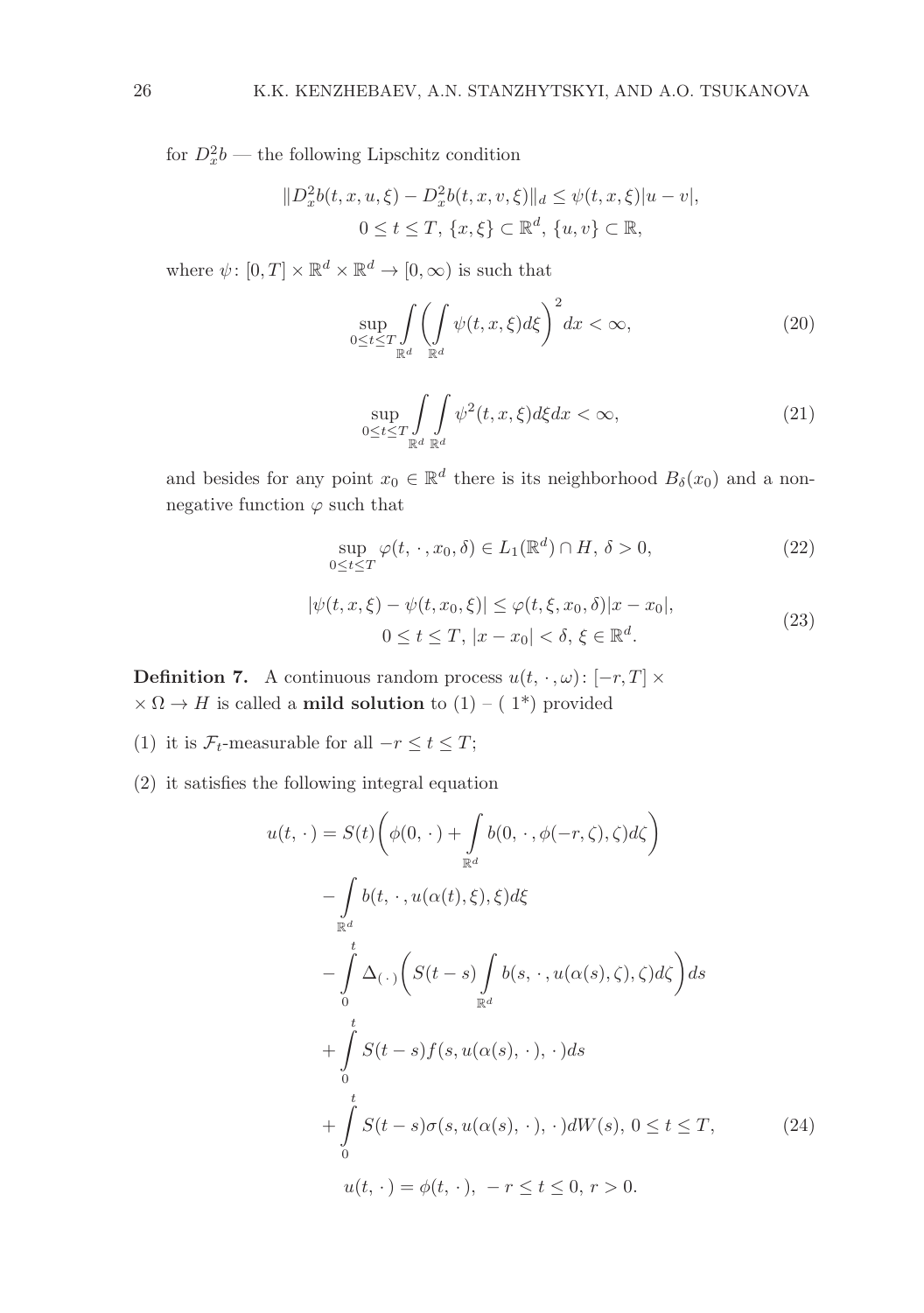for  $D_x^2b$  — the following Lipschitz condition

$$
||D_x^2 b(t, x, u, \xi) - D_x^2 b(t, x, v, \xi)||_d \leq \psi(t, x, \xi)|u - v|,
$$
  
0 \leq t \leq T, \{x, \xi\} \subset \mathbb{R}^d, \{u, v\} \subset \mathbb{R},

where  $\psi$ :  $[0, T] \times \mathbb{R}^d \times \mathbb{R}^d \to [0, \infty)$  is such that

$$
\sup_{0 \le t \le T} \int\limits_{\mathbb{R}^d} \left( \int\limits_{\mathbb{R}^d} \psi(t, x, \xi) d\xi \right)^2 dx < \infty,\tag{20}
$$

$$
\sup_{0 \le t \le T} \int\limits_{\mathbb{R}^d} \int\limits_{\mathbb{R}^d} \psi^2(t, x, \xi) d\xi dx < \infty,\tag{21}
$$

and besides for any point  $x_0 \in \mathbb{R}^d$  there is its neighborhood  $B_\delta(x_0)$  and a nonnegative function  $\varphi$  such that

$$
\sup_{0 \le t \le T} \varphi(t, \cdot, x_0, \delta) \in L_1(\mathbb{R}^d) \cap H, \delta > 0,
$$
\n(22)

$$
|\psi(t, x, \xi) - \psi(t, x_0, \xi)| \le \varphi(t, \xi, x_0, \delta)|x - x_0|,
$$
  
0 \le t \le T,  $|x - x_0| < \delta, \xi \in \mathbb{R}^d$ . (23)

**Definition 7.** A continuous random process  $u(t, \cdot, \omega)$ : [-r, T] ×  $\times \Omega \rightarrow H$  is called a **mild solution** to (1) – (1<sup>\*</sup>) provided

- (1) it is  $\mathcal{F}_t$ -measurable for all  $-r \leq t \leq T$ ;
- (2) it satisfies the following integral equation

$$
u(t, \cdot) = S(t) \bigg( \phi(0, \cdot) + \int_{\mathbb{R}^d} b(0, \cdot, \phi(-r, \zeta), \zeta) d\zeta \bigg)
$$
  

$$
- \int_{\mathbb{R}^d} b(t, \cdot, u(\alpha(t), \xi), \xi) d\xi
$$
  

$$
- \int_{0}^{t} \Delta_{(\cdot)} \bigg( S(t - s) \int_{\mathbb{R}^d} b(s, \cdot, u(\alpha(s), \zeta), \zeta) d\zeta \bigg) ds
$$
  

$$
+ \int_{0}^{t} S(t - s) f(s, u(\alpha(s), \cdot), \cdot) ds
$$
  

$$
+ \int_{0}^{t} S(t - s) \sigma(s, u(\alpha(s), \cdot), \cdot) dW(s), 0 \le t \le T,
$$
 (24)  

$$
u(t, \cdot) = \phi(t, \cdot), -r \le t \le 0, r > 0.
$$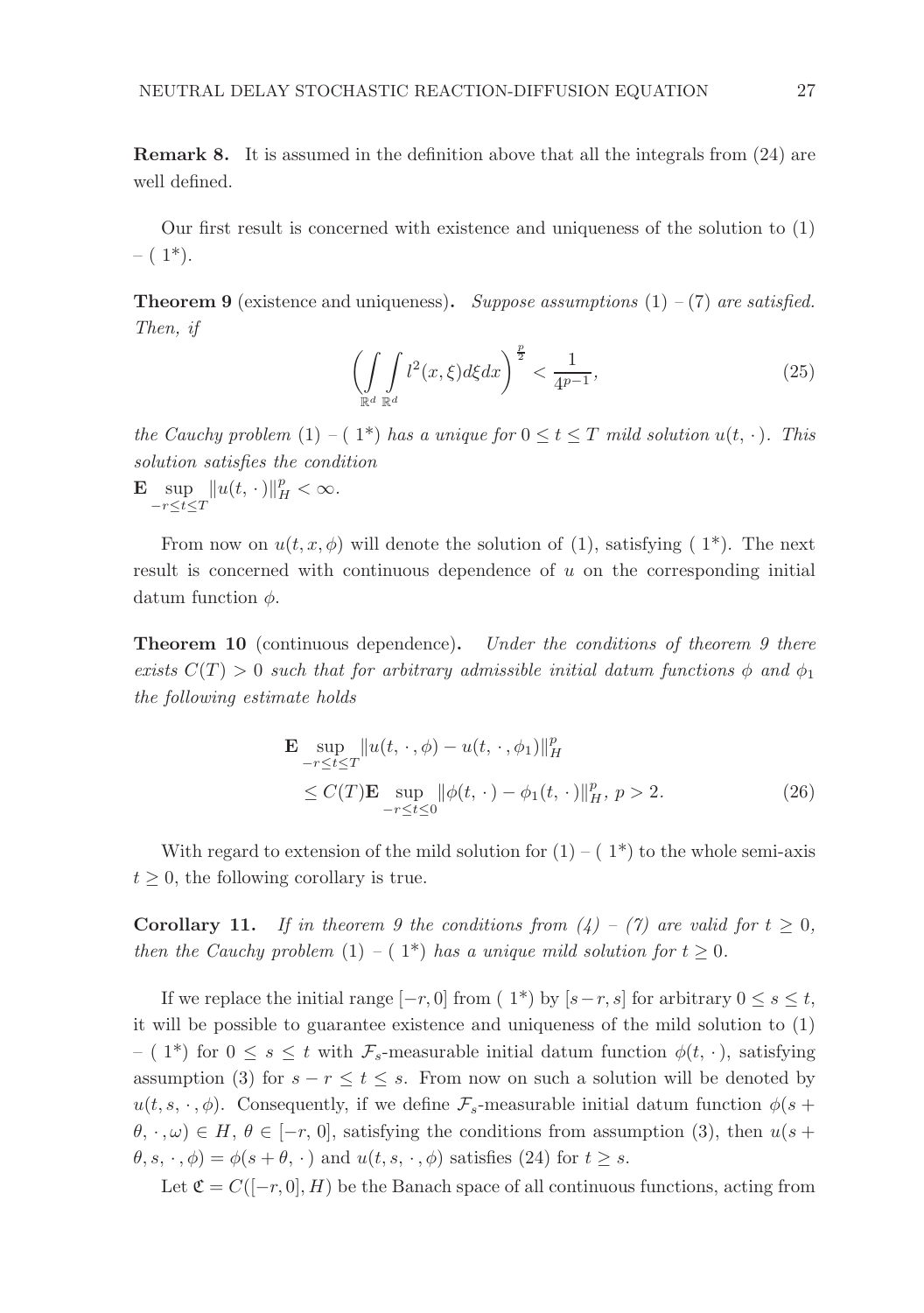Remark 8. It is assumed in the definition above that all the integrals from (24) are well defined.

Our first result is concerned with existence and uniqueness of the solution to (1)  $- (1^*)$ .

**Theorem 9** (existence and uniqueness). Suppose assumptions  $(1) - (7)$  are satisfied. Then, if

$$
\left(\int\limits_{\mathbb{R}^d} \int\limits_{\mathbb{R}^d} l^2(x,\xi) d\xi dx\right)^{\frac{p}{2}} < \frac{1}{4^{p-1}},\tag{25}
$$

the Cauchy problem (1) – (1\*) has a unique for  $0 \le t \le T$  mild solution  $u(t, \cdot)$ . This solution satisfies the condition

$$
\mathbf{E}\sup_{-r\leq t\leq T}\|u(t,\,\cdot\,)\|_H^p<\infty.
$$

From now on  $u(t, x, \phi)$  will denote the solution of (1), satisfying (1<sup>\*</sup>). The next result is concerned with continuous dependence of u on the corresponding initial datum function  $\phi$ .

**Theorem 10** (continuous dependence). Under the conditions of theorem 9 there exists  $C(T) > 0$  such that for arbitrary admissible initial datum functions  $\phi$  and  $\phi_1$ the following estimate holds

$$
\mathbf{E} \sup_{-r \le t \le T} \|u(t, \cdot, \phi) - u(t, \cdot, \phi_1)\|_{H}^{p}
$$
\n
$$
\le C(T) \mathbf{E} \sup_{-r \le t \le 0} \|\phi(t, \cdot) - \phi_1(t, \cdot)\|_{H}^{p}, \ p > 2. \tag{26}
$$

With regard to extension of the mild solution for  $(1) - (1^*)$  to the whole semi-axis  $t \geq 0$ , the following corollary is true.

**Corollary 11.** If in theorem 9 the conditions from  $(4) - (7)$  are valid for  $t \geq 0$ , then the Cauchy problem (1) – ( $1^*$ ) has a unique mild solution for  $t \geq 0$ .

If we replace the initial range  $[-r, 0]$  from  $(1^*)$  by  $[s-r, s]$  for arbitrary  $0 \le s \le t$ , it will be possible to guarantee existence and uniqueness of the mild solution to (1) – ( 1<sup>\*</sup>) for  $0 \leq s \leq t$  with  $\mathcal{F}_s$ -measurable initial datum function  $\phi(t, \cdot)$ , satisfying assumption (3) for  $s - r \le t \le s$ . From now on such a solution will be denoted by  $u(t, s, \cdot, \phi)$ . Consequently, if we define  $\mathcal{F}_s$ -measurable initial datum function  $\phi(s +$  $\theta, \cdot, \omega) \in H, \theta \in [-r, 0]$ , satisfying the conditions from assumption (3), then  $u(s +$  $\theta, s, \cdot, \phi$  =  $\phi(s + \theta, \cdot)$  and  $u(t, s, \cdot, \phi)$  satisfies (24) for  $t \geq s$ .

Let  $\mathfrak{C} = C([-r, 0], H)$  be the Banach space of all continuous functions, acting from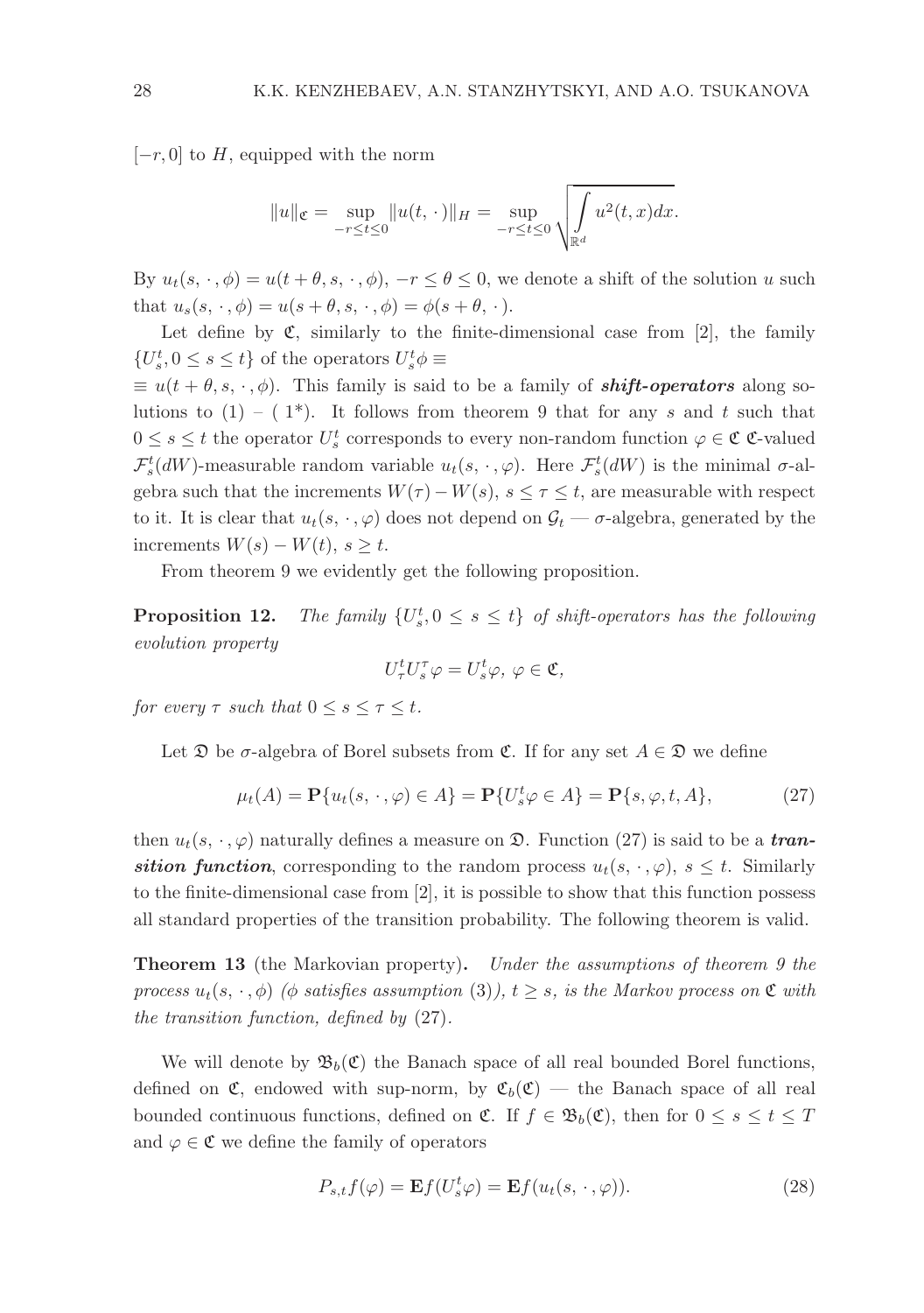$[-r, 0]$  to H, equipped with the norm

$$
||u||_{\mathfrak{C}} = \sup_{-r \leq t \leq 0} ||u(t, \cdot)||_{H} = \sup_{-r \leq t \leq 0} \sqrt{\int_{\mathbb{R}^d} u^2(t, x) dx}.
$$

By  $u_t(s, \cdot, \phi) = u(t + \theta, s, \cdot, \phi), -r \leq \theta \leq 0$ , we denote a shift of the solution u such that  $u_s(s, \cdot, \phi) = u(s + \theta, s, \cdot, \phi) = \phi(s + \theta, \cdot).$ 

Let define by  $\mathfrak{C}$ , similarly to the finite-dimensional case from [2], the family  ${U_s^t, 0 \le s \le t}$  of the operators  $U_s^t \phi \equiv$ 

 $\equiv u(t + \theta, s, \cdot, \phi)$ . This family is said to be a family of **shift-operators** along solutions to  $(1) - (1^*)$ . It follows from theorem 9 that for any s and t such that  $0 \leq s \leq t$  the operator  $U_s^t$  corresponds to every non-random function  $\varphi \in \mathfrak{C}$  C-valued  $\mathcal{F}_s^t(dW)$ -measurable random variable  $u_t(s, \cdot, \varphi)$ . Here  $\mathcal{F}_s^t(dW)$  is the minimal  $\sigma$ -algebra such that the increments  $W(\tau) - W(s)$ ,  $s \leq \tau \leq t$ , are measurable with respect to it. It is clear that  $u_t(s, \cdot, \varphi)$  does not depend on  $\mathcal{G}_t - \sigma$ -algebra, generated by the increments  $W(s) - W(t)$ ,  $s > t$ .

From theorem 9 we evidently get the following proposition.

Proposition 12.  $s<sub>s</sub>$ ,  $0 \leq s \leq t$  of shift-operators has the following evolution property

$$
U_{\tau}^{t}U_{s}^{\tau}\varphi=U_{s}^{t}\varphi, \ \varphi\in\mathfrak{C},
$$

for every  $\tau$  such that  $0 \leq s \leq \tau \leq t$ .

Let  $\mathfrak D$  be  $\sigma$ -algebra of Borel subsets from  $\mathfrak C$ . If for any set  $A \in \mathfrak D$  we define

$$
\mu_t(A) = \mathbf{P}\{u_t(s, \cdot, \varphi) \in A\} = \mathbf{P}\{U_s^t \varphi \in A\} = \mathbf{P}\{s, \varphi, t, A\},\tag{27}
$$

then  $u_t(s, \cdot, \varphi)$  naturally defines a measure on  $\mathfrak{D}$ . Function (27) is said to be a transition function, corresponding to the random process  $u_t(s, \cdot, \varphi)$ ,  $s \leq t$ . Similarly to the finite-dimensional case from [2], it is possible to show that this function possess all standard properties of the transition probability. The following theorem is valid.

**Theorem 13** (the Markovian property). Under the assumptions of theorem 9 the process  $u_t(s, \cdot, \phi)$  ( $\phi$  satisfies assumption (3)),  $t \geq s$ , is the Markov process on  $\mathfrak C$  with the transition function, defined by (27).

We will denote by  $\mathfrak{B}_b(\mathfrak{C})$  the Banach space of all real bounded Borel functions, defined on  $\mathfrak{C}$ , endowed with sup-norm, by  $\mathfrak{C}_b(\mathfrak{C})$  — the Banach space of all real bounded continuous functions, defined on  $\mathfrak{C}$ . If  $f \in \mathfrak{B}_b(\mathfrak{C})$ , then for  $0 \leq s \leq t \leq T$ and  $\varphi \in \mathfrak{C}$  we define the family of operators

$$
P_{s,t}f(\varphi) = \mathbf{E}f(U_s^t\varphi) = \mathbf{E}f(u_t(s,\cdot,\varphi)).
$$
\n(28)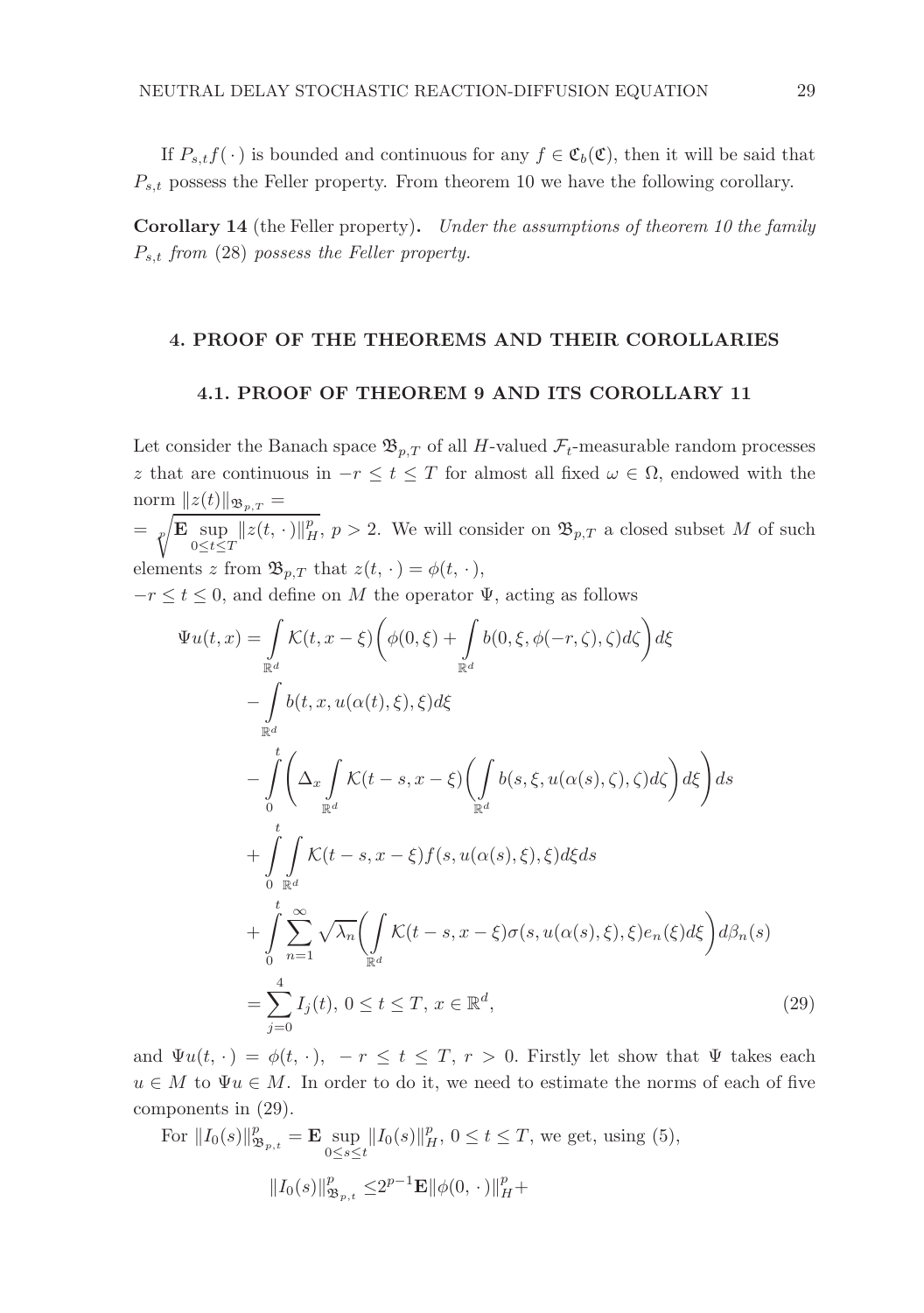If  $P_{s,t}f(\cdot)$  is bounded and continuous for any  $f \in \mathfrak{C}_b(\mathfrak{C})$ , then it will be said that  $P_{s,t}$  possess the Feller property. From theorem 10 we have the following corollary.

Corollary 14 (the Feller property). Under the assumptions of theorem 10 the family  $P_{s,t}$  from (28) possess the Feller property.

## 4. PROOF OF THE THEOREMS AND THEIR COROLLARIES

## 4.1. PROOF OF THEOREM 9 AND ITS COROLLARY 11

Let consider the Banach space  $\mathfrak{B}_{p,T}$  of all H-valued  $\mathcal{F}_t$ -measurable random processes z that are continuous in  $-r \leq t \leq T$  for almost all fixed  $\omega \in \Omega$ , endowed with the norm  $||z(t)||_{\mathfrak{B}_{p,T}} =$  $=\sqrt{\mathbf{E}\sup_{0\leq t\leq T}||z(t,\cdot)||_H^2}, p>2.$  We will consider on  $\mathfrak{B}_{p,T}$  a closed subset M of such elements z from  $\mathfrak{B}_{p,T}$  that  $z(t, \cdot) = \phi(t, \cdot),$  $-r \le t \le 0$ , and define on M the operator  $\Psi$ , acting as follows  $\overline{1}$ 

$$
\Psi u(t,x) = \int_{\mathbb{R}^d} \mathcal{K}(t, x - \xi) \left( \phi(0,\xi) + \int_{\mathbb{R}^d} b(0,\xi, \phi(-r,\zeta), \zeta) d\zeta \right) d\xi
$$
  
\n
$$
- \int_{\mathbb{R}^d} b(t, x, u(\alpha(t), \xi), \xi) d\xi
$$
  
\n
$$
- \int_{0}^t \left( \Delta_x \int_{\mathbb{R}^d} \mathcal{K}(t - s, x - \xi) \left( \int_{\mathbb{R}^d} b(s, \xi, u(\alpha(s), \zeta), \zeta) d\zeta \right) d\xi \right) ds
$$
  
\n
$$
+ \int_{0}^t \int_{\mathbb{R}^d} \mathcal{K}(t - s, x - \xi) f(s, u(\alpha(s), \xi), \xi) d\xi ds
$$
  
\n
$$
+ \int_{0}^t \sum_{n=1}^\infty \sqrt{\lambda_n} \left( \int_{\mathbb{R}^d} \mathcal{K}(t - s, x - \xi) \sigma(s, u(\alpha(s), \xi), \xi) e_n(\xi) d\xi \right) d\beta_n(s)
$$
  
\n
$$
= \sum_{j=0}^4 I_j(t), 0 \le t \le T, x \in \mathbb{R}^d,
$$
\n(29)

and  $\Psi u(t, \cdot) = \phi(t, \cdot), -r \leq t \leq T, r > 0$ . Firstly let show that  $\Psi$  takes each  $u \in M$  to  $\Psi u \in M$ . In order to do it, we need to estimate the norms of each of five components in (29).

For 
$$
||I_0(s)||_{\mathfrak{B}_{p,t}}^p = \mathbf{E} \sup_{0 \le s \le t} ||I_0(s)||_H^p, 0 \le t \le T
$$
, we get, using (5),  
 $||I_0(s)||_{\mathfrak{B}_{p,t}}^p \le 2^{p-1} \mathbf{E} ||\phi(0, \cdot)||_H^p +$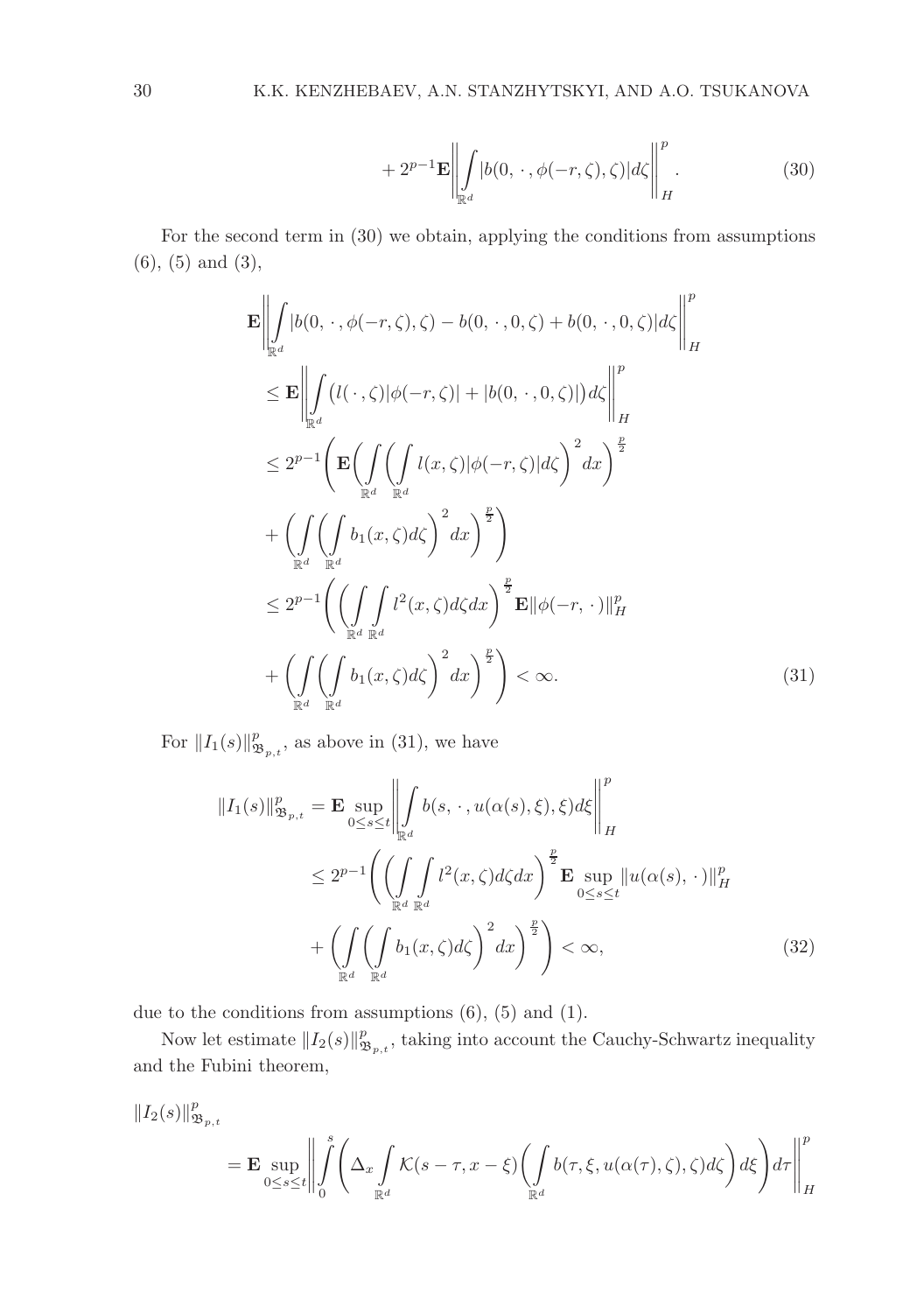$$
+ 2^{p-1} \mathbf{E} \left\| \int_{\mathbb{R}^d} |b(0, \cdot, \phi(-r, \zeta), \zeta)| d\zeta \right\|_H^p.
$$
 (30)

For the second term in (30) we obtain, applying the conditions from assumptions (6), (5) and (3),

$$
\mathbf{E} \left\| \int_{\mathbb{R}^d} |b(0, \cdot, \phi(-r, \zeta), \zeta) - b(0, \cdot, 0, \zeta) + b(0, \cdot, 0, \zeta) |d\zeta \right\|_H^p
$$
\n
$$
\leq \mathbf{E} \left\| \int_{\mathbb{R}^d} (l(\cdot, \zeta) |\phi(-r, \zeta)| + |b(0, \cdot, 0, \zeta)|) d\zeta \right\|_H^p
$$
\n
$$
\leq 2^{p-1} \left( \mathbf{E} \left( \int_{\mathbb{R}^d} \left( \int_{\mathbb{R}^d} l(x, \zeta) |\phi(-r, \zeta)| d\zeta \right)^2 dx \right)^{\frac{p}{2}}
$$
\n
$$
+ \left( \int_{\mathbb{R}^d} \left( \int_{\mathbb{R}^d} b_1(x, \zeta) d\zeta \right)^2 dx \right)^{\frac{p}{2}}
$$
\n
$$
\leq 2^{p-1} \left( \left( \int_{\mathbb{R}^d} \int_{\mathbb{R}^d} l^2(x, \zeta) d\zeta dx \right)^{\frac{p}{2}} \mathbf{E} \|\phi(-r, \cdot)\|_H^p
$$
\n
$$
+ \left( \int_{\mathbb{R}^d} \left( \int_{\mathbb{R}^d} b_1(x, \zeta) d\zeta \right)^2 dx \right)^{\frac{p}{2}} \right) < \infty.
$$
\n(31)

For  $||I_1(s)||^p_{\mathfrak{B}_{p,t}}$ , as above in (31), we have

$$
||I_1(s)||^p_{\mathfrak{B}_{p,t}} = \mathbf{E} \sup_{0 \le s \le t} \left\| \int_{\mathbb{R}^d} b(s, \cdot, u(\alpha(s), \xi), \xi) d\xi \right\|_H^p
$$
  
\n
$$
\le 2^{p-1} \left( \left( \int_{\mathbb{R}^d} \int_{\mathbb{R}^d} l^2(x, \zeta) d\zeta dx \right)^{\frac{p}{2}} \mathbf{E} \sup_{0 \le s \le t} ||u(\alpha(s), \cdot)||_H^p
$$
  
\n
$$
+ \left( \int_{\mathbb{R}^d} \left( \int_{\mathbb{R}^d} b_1(x, \zeta) d\zeta \right)^2 dx \right)^{\frac{p}{2}} \right) < \infty,
$$
\n(32)

due to the conditions from assumptions  $(6)$ ,  $(5)$  and  $(1)$ .

Now let estimate  $||I_2(s)||^p_{\mathfrak{B}_{p,t}}$ , taking into account the Cauchy-Schwartz inequality and the Fubini theorem,

$$
\begin{aligned} \|I_2(s)\|_{\mathfrak{B}_{p,t}}^p&= \mathbf{E}\sup_{0\leq s\leq t}\bigg\|\int\limits_0^s\bigg(\Delta_x\int\limits_{\mathbb{R}^d}\mathcal{K}(s-\tau,x-\xi)\bigg(\int\limits_{\mathbb{R}^d}b(\tau,\xi,u(\alpha(\tau),\zeta),\zeta)d\zeta\bigg)d\xi\bigg)d\tau\bigg\|_H^p\bigg\|_p^p\bigg\|_p^p\bigg\|_p^p\bigg\|_p^p\bigg\|_p^p\bigg\|_p^p\bigg\|_p^p\bigg\|_p^p\bigg\|_p^p\bigg\|_p^p\bigg\|_p^p\bigg\|_p^p\bigg\|_p^p\bigg\|_p^p\bigg\|_p^p\bigg\|_p^p\bigg\|_p^p\bigg\|_p^p\bigg\|_p^p\bigg\|_p^p\bigg\|_p^p\bigg\|_p^p\bigg\|_p^p\bigg\|_p^p\bigg\|_p^p\bigg\|_p^p\bigg\|_p^p\bigg\|_p^p\bigg\|_p^p\bigg\|_p^p\bigg\|_p^p\bigg\|_p^p\bigg\|_p^p\bigg\|_p^p\bigg\|_p^p\bigg\|_p^p\bigg\|_p^p\bigg\|_p^p\bigg\|_p^p\bigg\|_p^p\bigg\|_p^p\bigg\|_p^p\bigg\|_p^p\bigg\|_p^p\bigg\|_p^p\bigg\|_p^p\bigg\|_p^p\bigg\|_p^p\bigg\|_p^p\bigg\|_p^p\bigg\|_p^p\bigg\|_p^p\bigg\|_p^p\bigg\|_p^p\bigg\|_p^p\bigg\|_p^p\bigg\|_p^p\bigg\|_p^p\bigg\|_p^p\bigg\|_p^p\bigg\|_p^p\bigg\|_p^p\bigg\|_p^p\bigg\|_p^p\bigg\|_p^p\bigg\|_p^p\bigg\|_p^p\bigg\|_p^p\
$$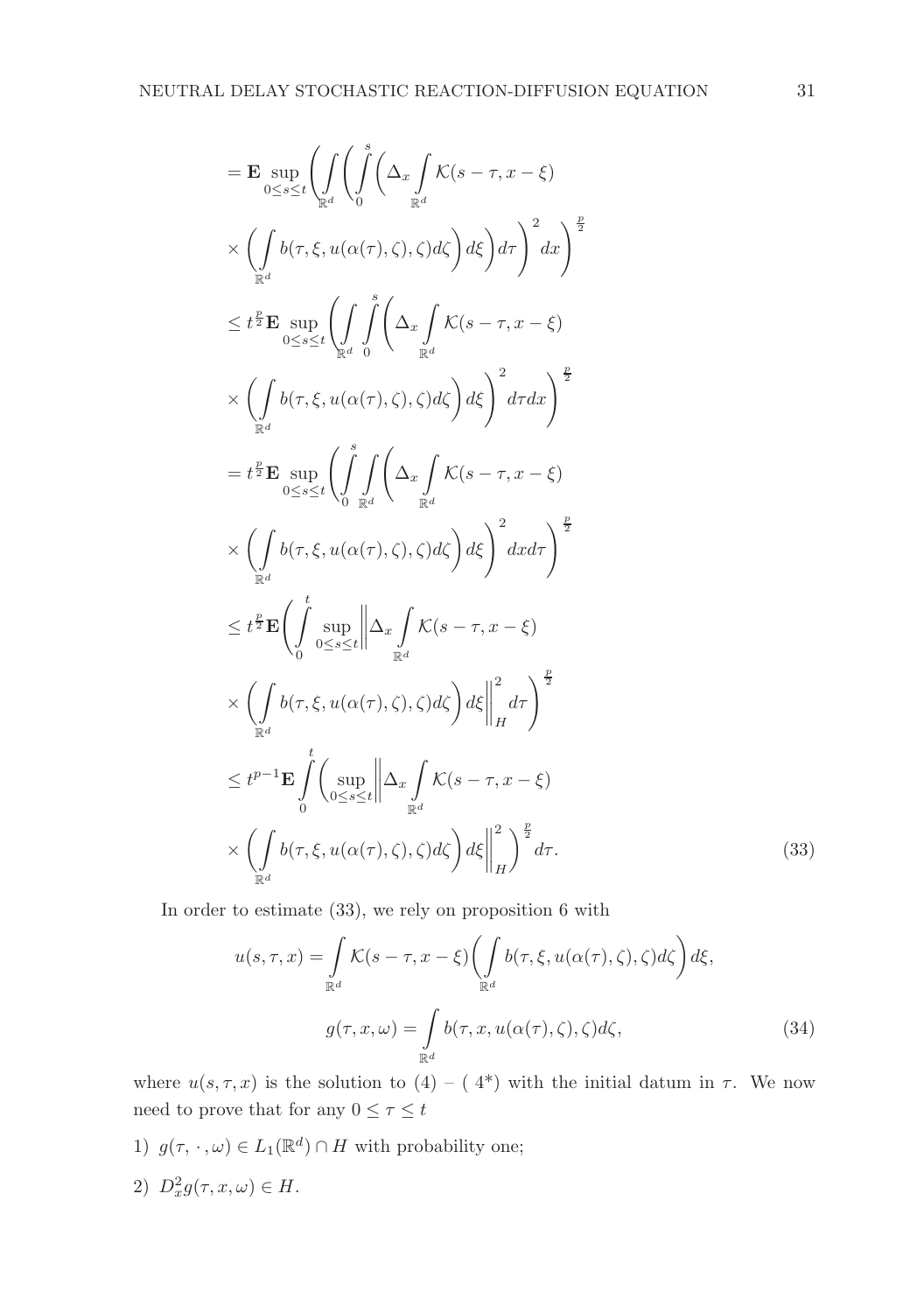$$
= \mathbf{E} \sup_{0 \leq s \leq t} \left( \int_{\mathbb{R}^d} \left( \int_0^s \left( \Delta_x \int_K \mathcal{K}(s - \tau, x - \xi) \right) \right) dx \right) dx \left( \int_{\mathbb{R}^d} b(\tau, \xi, u(\alpha(\tau), \zeta), \zeta) d\zeta \right) d\zeta \right) d\tau \right)^2 dx \bigg)^{\frac{p}{2}}
$$
  
\n
$$
\leq t^{\frac{p}{2}} \mathbf{E} \sup_{0 \leq s \leq t} \left( \int_{\mathbb{R}^d} \int_0^s \left( \Delta_x \int_K \mathcal{K}(s - \tau, x - \xi) \right) dx \right) dx
$$
  
\n
$$
\times \left( \int_{\mathbb{R}^d} b(\tau, \xi, u(\alpha(\tau), \zeta), \zeta) d\zeta \right) d\xi \right)^2 d\tau dx \bigg)^{\frac{p}{2}}
$$
  
\n
$$
= t^{\frac{p}{2}} \mathbf{E} \sup_{0 \leq s \leq t} \left( \int_0^s \int_{\mathbb{R}^d} \left( \Delta_x \int_K \mathcal{K}(s - \tau, x - \xi) \right) dx \right) dx
$$
  
\n
$$
\times \left( \int_{\mathbb{R}^d} b(\tau, \xi, u(\alpha(\tau), \zeta), \zeta) d\zeta \right) d\xi \right)^2 dxd\tau \bigg)^{\frac{p}{2}}
$$
  
\n
$$
\leq t^{\frac{p}{2}} \mathbf{E} \left( \int_0^t \sup_{0 \leq s \leq t} \left\| \Delta_x \int_K \mathcal{K}(s - \tau, x - \xi) \right) dx
$$
  
\n
$$
\times \left( \int_{\mathbb{R}^d} b(\tau, \xi, u(\alpha(\tau), \zeta), \zeta) d\zeta \right) d\xi \bigg|^{\frac{2}{2}} d\tau \right)^{\frac{p}{2}}
$$
  
\n
$$
\leq t^{p-1} \mathbf{E} \int_0^t \left( \sup_{0 \leq s \leq t} \left\| \Delta_x \int_K \mathcal{K}(s - \tau, x - \xi) \right) dx
$$
  
\n
$$
\times \left( \int_{0} b(\tau,
$$

In order to estimate (33), we rely on proposition 6 with

$$
u(s,\tau,x) = \int_{\mathbb{R}^d} \mathcal{K}(s-\tau,x-\xi) \left( \int_{\mathbb{R}^d} b(\tau,\xi,u(\alpha(\tau),\zeta),\zeta) d\zeta \right) d\xi,
$$

$$
g(\tau,x,\omega) = \int_{\mathbb{R}^d} b(\tau,x,u(\alpha(\tau),\zeta),\zeta) d\zeta,
$$
(34)

where  $u(s, \tau, x)$  is the solution to  $(4) - (4^*)$  with the initial datum in  $\tau$ . We now need to prove that for any  $0\leq \tau\leq t$ 

- 1)  $g(\tau, \cdot, \omega) \in L_1(\mathbb{R}^d) \cap H$  with probability one;
- 2)  $D_x^2 g(\tau, x, \omega) \in H$ .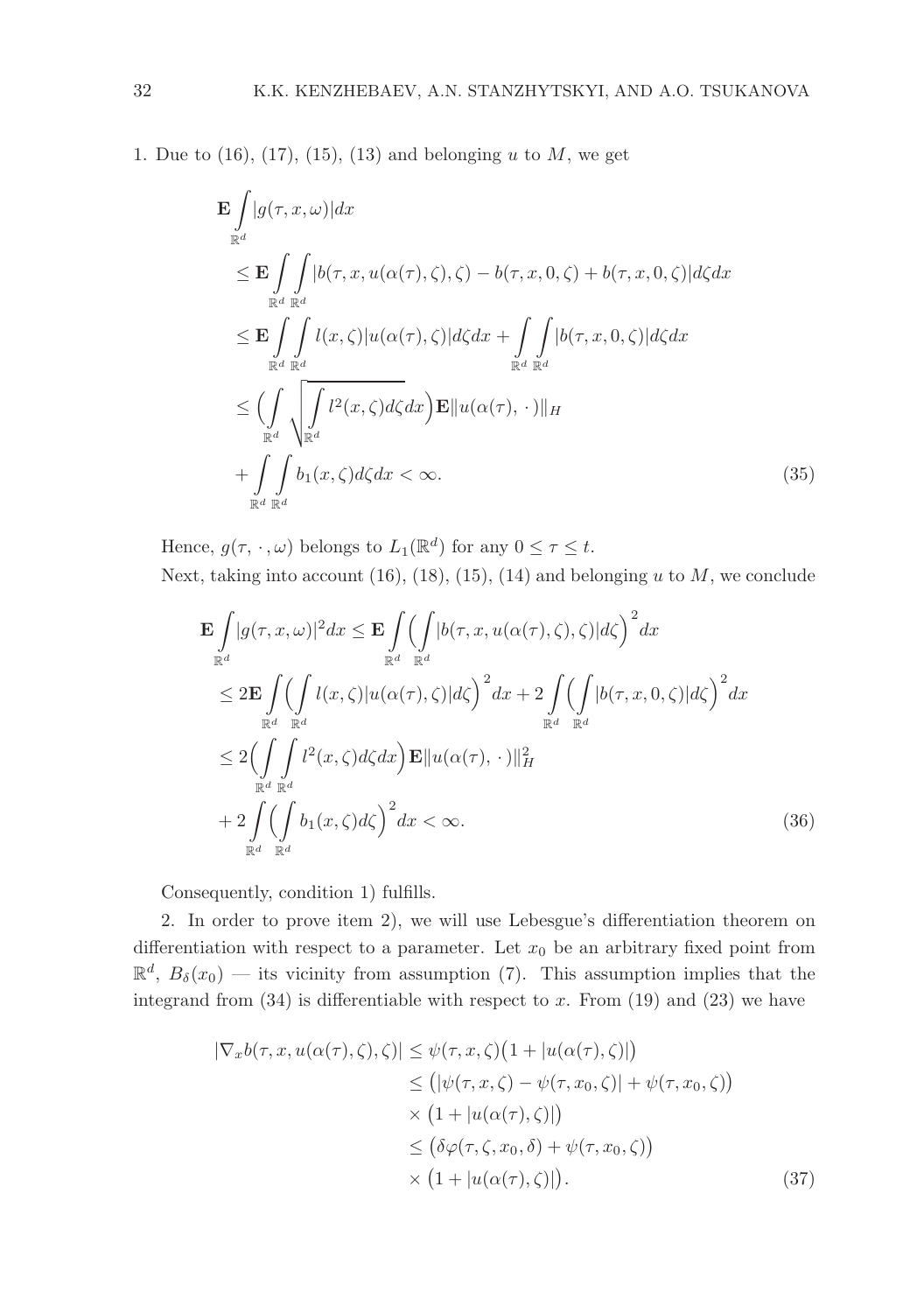1. Due to  $(16)$ ,  $(17)$ ,  $(15)$ ,  $(13)$  and belonging u to M, we get

$$
\mathbf{E} \int_{\mathbb{R}^d} |g(\tau, x, \omega)| dx
$$
\n
$$
\leq \mathbf{E} \int_{\mathbb{R}^d} \int_{\mathbb{R}^d} |b(\tau, x, u(\alpha(\tau), \zeta), \zeta) - b(\tau, x, 0, \zeta) + b(\tau, x, 0, \zeta)| d\zeta dx
$$
\n
$$
\leq \mathbf{E} \int_{\mathbb{R}^d} \int_{\mathbb{R}^d} l(x, \zeta) |u(\alpha(\tau), \zeta)| d\zeta dx + \int_{\mathbb{R}^d} \int_{\mathbb{R}^d} |b(\tau, x, 0, \zeta)| d\zeta dx
$$
\n
$$
\leq \left( \int_{\mathbb{R}^d} \int_{\mathbb{R}^d} l^2(x, \zeta) d\zeta dx \right) \mathbf{E} ||u(\alpha(\tau), \cdot)||_H
$$
\n
$$
+ \int_{\mathbb{R}^d} \int_{\mathbb{R}^d} b_1(x, \zeta) d\zeta dx < \infty.
$$
\n(35)

Hence,  $g(\tau, \cdot, \omega)$  belongs to  $L_1(\mathbb{R}^d)$  for any  $0 \leq \tau \leq t$ .

Next, taking into account 
$$
(16)
$$
,  $(18)$ ,  $(15)$ ,  $(14)$  and belonging  $u$  to  $M$ , we conclude

$$
\mathbf{E} \int_{\mathbb{R}^d} |g(\tau, x, \omega)|^2 dx \leq \mathbf{E} \int_{\mathbb{R}^d} \left( \int_{\mathbb{R}^d} |b(\tau, x, u(\alpha(\tau), \zeta), \zeta)| d\zeta \right)^2 dx
$$
\n
$$
\leq 2\mathbf{E} \int_{\mathbb{R}^d} \left( \int_{\mathbb{R}^d} l(x, \zeta) |u(\alpha(\tau), \zeta)| d\zeta \right)^2 dx + 2 \int_{\mathbb{R}^d} \left( \int_{\mathbb{R}^d} |b(\tau, x, 0, \zeta)| d\zeta \right)^2 dx
$$
\n
$$
\leq 2 \Big( \int_{\mathbb{R}^d} \int_{\mathbb{R}^d} l^2(x, \zeta) d\zeta dx \Big) \mathbf{E} \|u(\alpha(\tau), \cdot)\|_H^2
$$
\n
$$
+ 2 \int_{\mathbb{R}^d} \left( \int_{\mathbb{R}^d} b_1(x, \zeta) d\zeta \right)^2 dx < \infty.
$$
\n(36)

Consequently, condition 1) fulfills.

2. In order to prove item 2), we will use Lebesgue's differentiation theorem on differentiation with respect to a parameter. Let  $x_0$  be an arbitrary fixed point from  $\mathbb{R}^d$ ,  $B_\delta(x_0)$  — its vicinity from assumption (7). This assumption implies that the integrand from  $(34)$  is differentiable with respect to x. From  $(19)$  and  $(23)$  we have

$$
|\nabla_x b(\tau, x, u(\alpha(\tau), \zeta), \zeta)| \leq \psi(\tau, x, \zeta) \left(1 + |u(\alpha(\tau), \zeta)|\right)
$$
  
\n
$$
\leq (|\psi(\tau, x, \zeta) - \psi(\tau, x_0, \zeta)| + \psi(\tau, x_0, \zeta)\right)
$$
  
\n
$$
\times \left(1 + |u(\alpha(\tau), \zeta)|\right)
$$
  
\n
$$
\leq (\delta \varphi(\tau, \zeta, x_0, \delta) + \psi(\tau, x_0, \zeta))
$$
  
\n
$$
\times \left(1 + |u(\alpha(\tau), \zeta)|\right).
$$
 (37)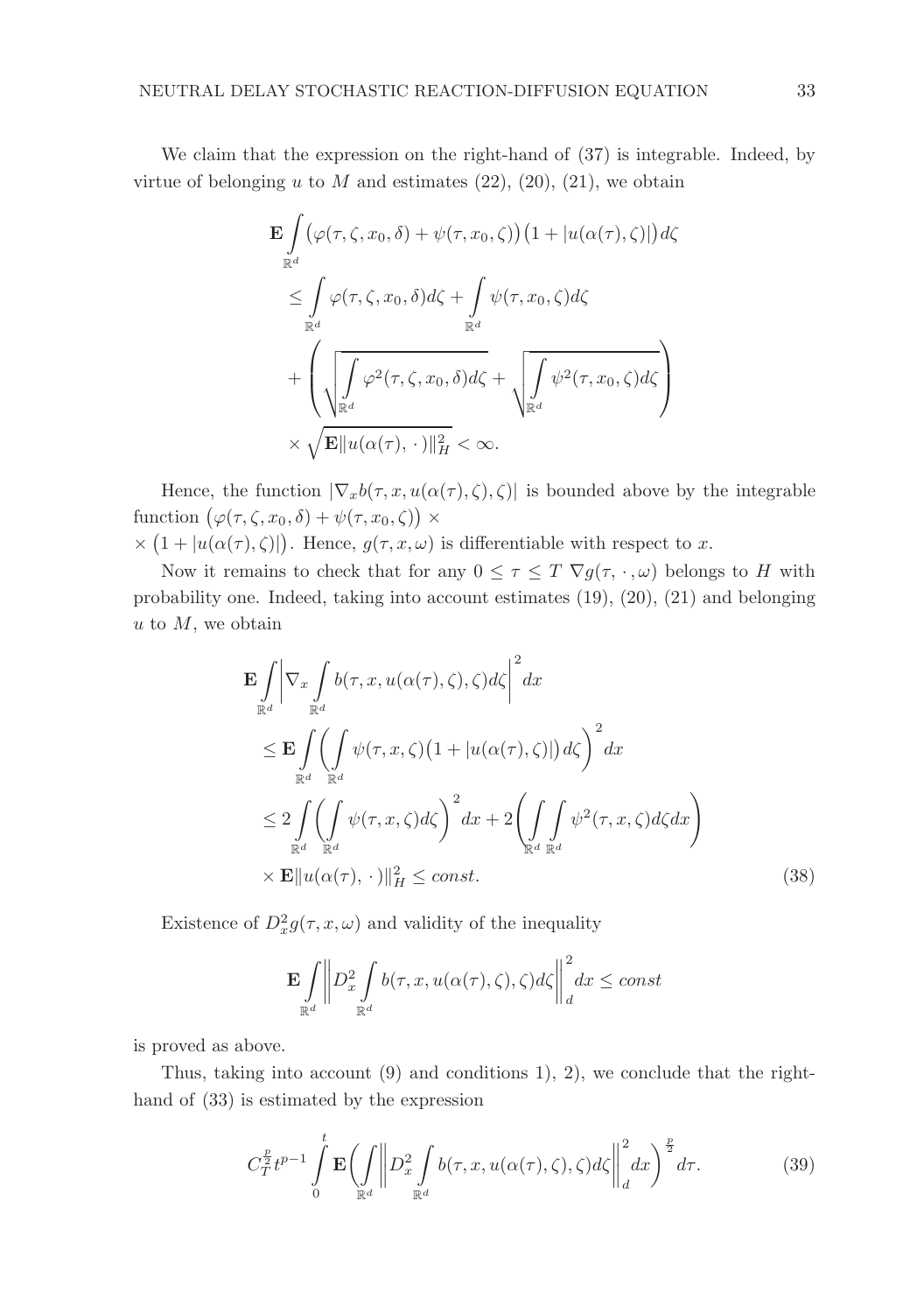We claim that the expression on the right-hand of  $(37)$  is integrable. Indeed, by virtue of belonging u to M and estimates  $(22)$ ,  $(20)$ ,  $(21)$ , we obtain

$$
\mathbf{E} \int_{\mathbb{R}^d} (\varphi(\tau, \zeta, x_0, \delta) + \psi(\tau, x_0, \zeta)) (1 + |u(\alpha(\tau), \zeta)|) d\zeta
$$
  
\n
$$
\leq \int_{\mathbb{R}^d} \varphi(\tau, \zeta, x_0, \delta) d\zeta + \int_{\mathbb{R}^d} \psi(\tau, x_0, \zeta) d\zeta
$$
  
\n
$$
+ \left( \sqrt{\int_{\mathbb{R}^d} \varphi^2(\tau, \zeta, x_0, \delta) d\zeta} + \sqrt{\int_{\mathbb{R}^d} \psi^2(\tau, x_0, \zeta) d\zeta} \right)
$$
  
\n
$$
\times \sqrt{\mathbf{E} ||u(\alpha(\tau), \cdot)||_H^2} < \infty.
$$

Hence, the function  $|\nabla_x b(\tau, x, u(\alpha(\tau), \zeta), \zeta)|$  is bounded above by the integrable function  $(\varphi(\tau,\zeta,x_0,\delta)+\psi(\tau,x_0,\zeta)) \times$ 

 $\times (1+|u(\alpha(\tau),\zeta)|)$ . Hence,  $g(\tau,x,\omega)$  is differentiable with respect to x.

Now it remains to check that for any  $0 \leq \tau \leq T \nabla g(\tau, \cdot, \omega)$  belongs to H with probability one. Indeed, taking into account estimates (19), (20), (21) and belonging  $u$  to  $M$ , we obtain

$$
\mathbf{E} \int_{\mathbb{R}^d} \left| \nabla_x \int_{\mathbb{R}^d} b(\tau, x, u(\alpha(\tau), \zeta), \zeta) d\zeta \right|^2 dx
$$
\n
$$
\leq \mathbf{E} \int_{\mathbb{R}^d} \left( \int_{\mathbb{R}^d} \psi(\tau, x, \zeta) \left( 1 + |u(\alpha(\tau), \zeta)| \right) d\zeta \right)^2 dx
$$
\n
$$
\leq 2 \int_{\mathbb{R}^d} \left( \int_{\mathbb{R}^d} \psi(\tau, x, \zeta) d\zeta \right)^2 dx + 2 \left( \int_{\mathbb{R}^d} \int_{\mathbb{R}^d} \psi^2(\tau, x, \zeta) d\zeta dx \right)
$$
\n
$$
\times \mathbf{E} \| u(\alpha(\tau), \cdot) \|_H^2 \leq const. \tag{38}
$$

Existence of  $D_x^2 g(\tau, x, \omega)$  and validity of the inequality

$$
\mathbf{E}\int\limits_{\mathbb{R}^d}\bigg\|D_x^2\int\limits_{\mathbb{R}^d}b(\tau,x,u(\alpha(\tau),\zeta),\zeta)d\zeta\bigg\|_d^2dx\leq const
$$

is proved as above.

Thus, taking into account (9) and conditions 1), 2), we conclude that the righthand of (33) is estimated by the expression

$$
C_T^{\frac{p}{2}}t^{p-1}\int\limits_0^t \mathbf{E}\biggl(\int\limits_{\mathbb{R}^d} \biggl\|D_x^2 \int\limits_{\mathbb{R}^d} b(\tau, x, u(\alpha(\tau), \zeta), \zeta)d\zeta\biggr\|_d^2 dx\biggr)^{\frac{p}{2}}d\tau.
$$
 (39)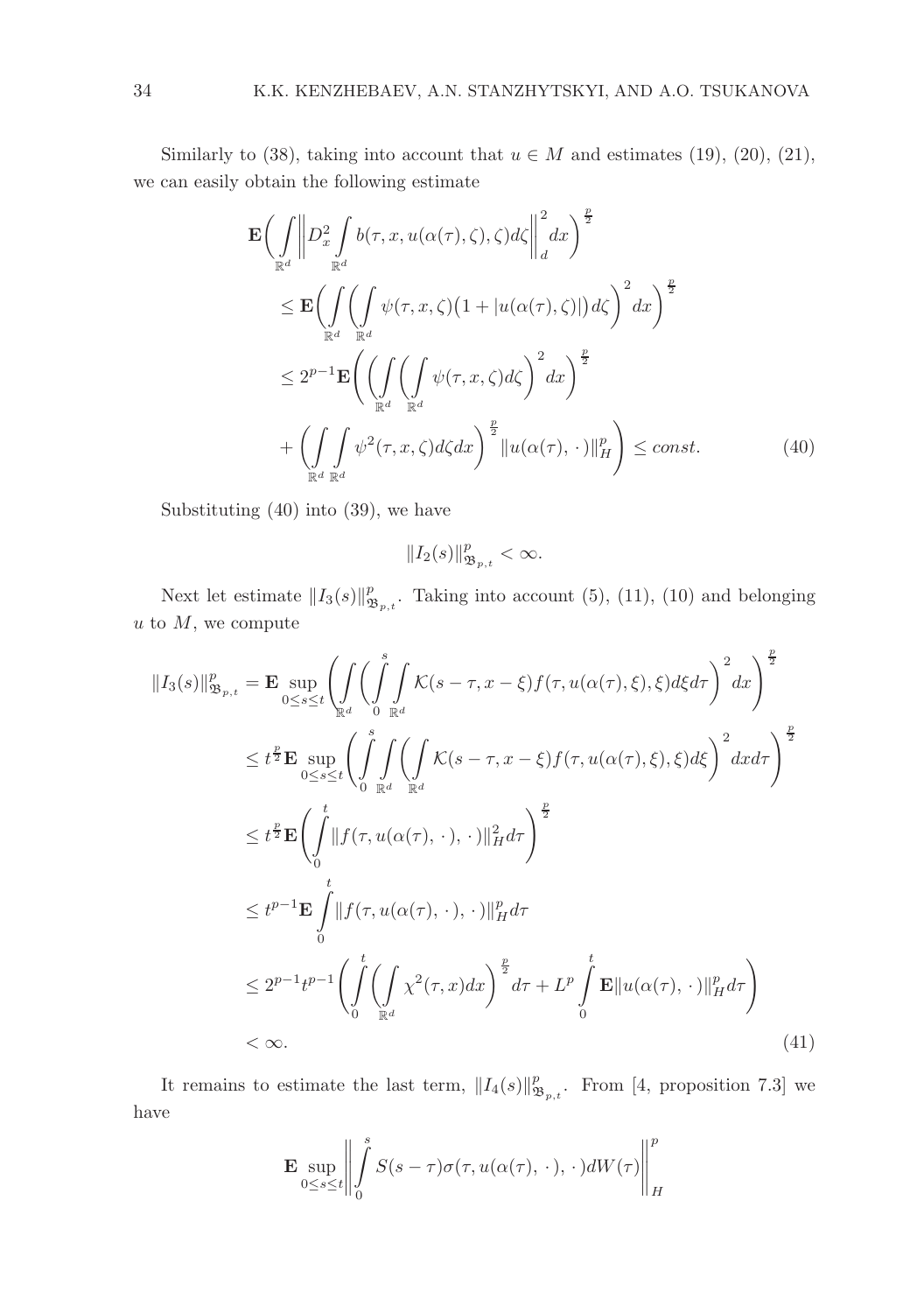Similarly to (38), taking into account that  $u \in M$  and estimates (19), (20), (21), we can easily obtain the following estimate

$$
\mathbf{E}\left(\int_{\mathbb{R}^d} \left\|D_x^2 \int_{\mathbb{R}^d} b(\tau, x, u(\alpha(\tau), \zeta), \zeta) d\zeta \right\|_d^2 dx\right)^{\frac{p}{2}} \n\leq \mathbf{E}\left(\int_{\mathbb{R}^d} \left(\int_{\mathbb{R}^d} \psi(\tau, x, \zeta) \left(1 + |u(\alpha(\tau), \zeta)|\right) d\zeta\right)^2 dx\right)^{\frac{p}{2}} \n\leq 2^{p-1} \mathbf{E}\left(\left(\int_{\mathbb{R}^d} \left(\int_{\mathbb{R}^d} \psi(\tau, x, \zeta) d\zeta\right)^2 dx\right)^{\frac{p}{2}} \n+ \left(\int_{\mathbb{R}^d} \int_{\mathbb{R}^d} \psi^2(\tau, x, \zeta) d\zeta dx\right)^{\frac{p}{2}} \|u(\alpha(\tau), \cdot)\|_H^p\right) \leq const.
$$
\n(40)

Substituting (40) into (39), we have

$$
||I_2(s)||_{\mathfrak{B}_{p,t}}^p < \infty.
$$

Next let estimate  $||I_3(s)||^p_{\mathfrak{B}_{p,t}}$ . Taking into account (5), (11), (10) and belonging  $u$  to  $M$ , we compute

$$
||I_{3}(s)||_{\mathfrak{B}_{p,t}}^{p} = \mathbf{E} \sup_{0 \leq s \leq t} \left( \int_{\mathbb{R}^{d}} \int_{0}^{s} \int_{\mathbb{R}^{d}} \mathcal{K}(s-\tau,x-\xi) f(\tau,u(\alpha(\tau),\xi),\xi) d\xi d\tau \right)^{2} dx \right)^{\frac{p}{2}}
$$
  
\n
$$
\leq t^{\frac{p}{2}} \mathbf{E} \sup_{0 \leq s \leq t} \left( \int_{0}^{s} \int_{\mathbb{R}^{d}} \int_{\mathbb{R}^{d}} \mathcal{K}(s-\tau,x-\xi) f(\tau,u(\alpha(\tau),\xi),\xi) d\xi \right)^{2} dx d\tau \right)^{\frac{p}{2}}
$$
  
\n
$$
\leq t^{\frac{p}{2}} \mathbf{E} \left( \int_{0}^{t} ||f(\tau,u(\alpha(\tau),\cdot),\cdot)||_{H}^{2} d\tau \right)^{\frac{p}{2}}
$$
  
\n
$$
\leq t^{p-1} \mathbf{E} \int_{0}^{t} ||f(\tau,u(\alpha(\tau),\cdot),\cdot)||_{H}^{p} d\tau
$$
  
\n
$$
\leq 2^{p-1} t^{p-1} \left( \int_{0}^{t} \left( \int_{\mathbb{R}^{d}} \chi^{2}(\tau,x) dx \right)^{\frac{p}{2}} d\tau + L^{p} \int_{0}^{t} \mathbf{E} ||u(\alpha(\tau),\cdot)||_{H}^{p} d\tau \right)
$$
  
\n
$$
< \infty.
$$
  
\n(41)

It remains to estimate the last term,  $||I_4(s)||^p_{\mathfrak{B}_{p,t}}$ . From [4, proposition 7.3] we have

$$
\mathbf{E} \sup_{0 \le s \le t} \left\| \int\limits_0^s S(s-\tau) \sigma(\tau, u(\alpha(\tau), \, \cdot \,), \, \cdot \,) dW(\tau) \right\|_H^p
$$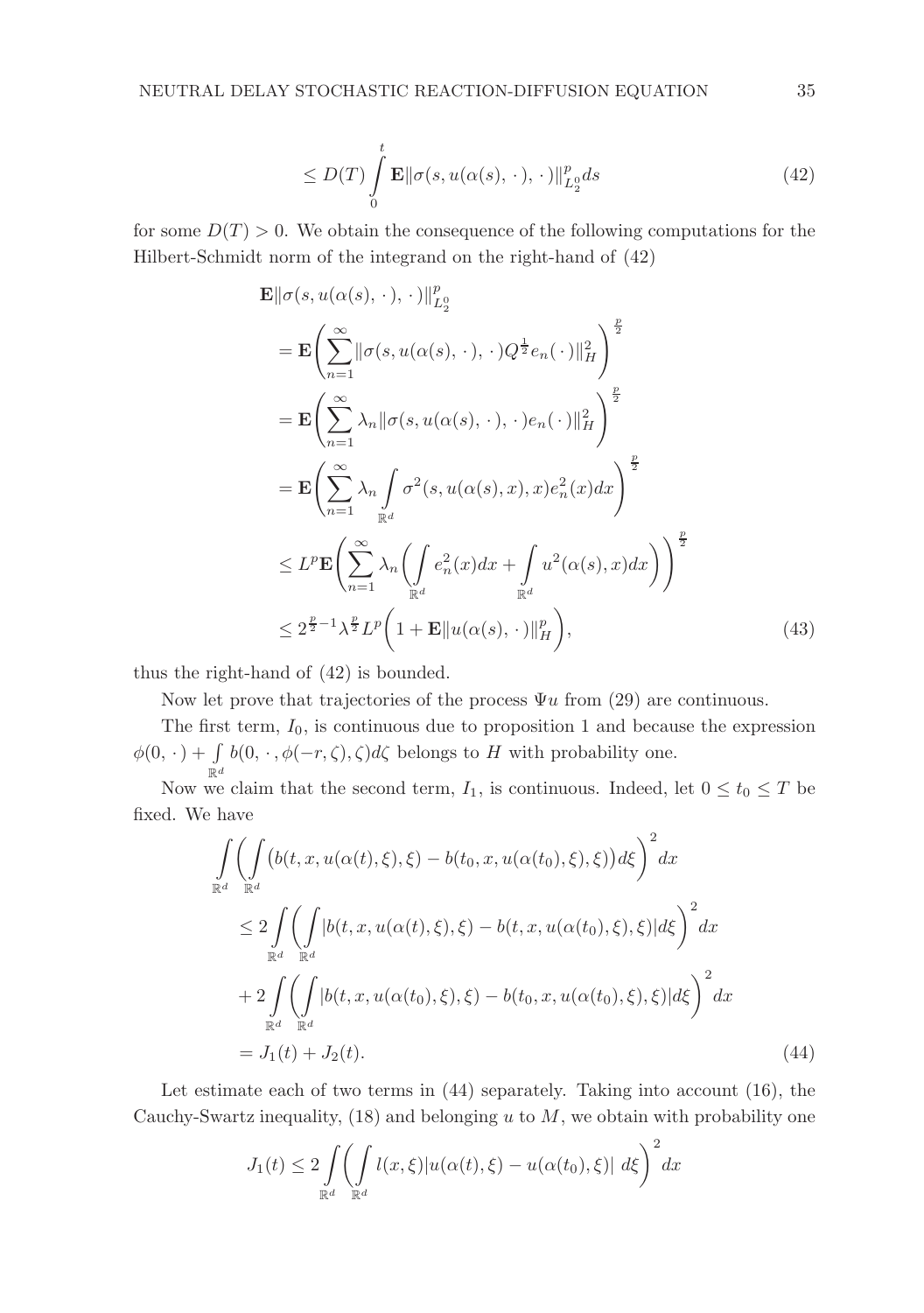$$
\leq D(T) \int_{0}^{t} \mathbf{E} \|\sigma(s, u(\alpha(s), \cdot), \cdot)\|_{L_{2}^{0}}^{p} ds \tag{42}
$$

for some  $D(T) > 0$ . We obtain the consequence of the following computations for the Hilbert-Schmidt norm of the integrand on the right-hand of (42)

$$
\mathbf{E} \|\sigma(s, u(\alpha(s), \cdot), \cdot)\|_{L_2^0}^p
$$
\n
$$
= \mathbf{E} \Biggl( \sum_{n=1}^{\infty} \|\sigma(s, u(\alpha(s), \cdot), \cdot)Q^{\frac{1}{2}}e_n(\cdot)\|_H^2 \Biggr)^{\frac{p}{2}}
$$
\n
$$
= \mathbf{E} \Biggl( \sum_{n=1}^{\infty} \lambda_n \|\sigma(s, u(\alpha(s), \cdot), \cdot)e_n(\cdot)\|_H^2 \Biggr)^{\frac{p}{2}}
$$
\n
$$
= \mathbf{E} \Biggl( \sum_{n=1}^{\infty} \lambda_n \int_{\mathbb{R}^d} \sigma^2(s, u(\alpha(s), x), x)e_n^2(x)dx \Biggr)^{\frac{p}{2}}
$$
\n
$$
\leq L^p \mathbf{E} \Biggl( \sum_{n=1}^{\infty} \lambda_n \Biggl( \int_{\mathbb{R}^d} e_n^2(x)dx + \int_{\mathbb{R}^d} u^2(\alpha(s), x)dx \Biggr)^{\frac{p}{2}}
$$
\n
$$
\leq 2^{\frac{p}{2}-1} \lambda^{\frac{p}{2}} L^p \Biggl( 1 + \mathbf{E} \| u(\alpha(s), \cdot) \|_H^p \Biggr), \tag{43}
$$

thus the right-hand of (42) is bounded.

Now let prove that trajectories of the process  $\Psi u$  from (29) are continuous.

The first term,  $I_0$ , is continuous due to proposition 1 and because the expression  $\phi(0, \cdot) + \int\limits_{\mathbb{R}^d} b(0, \cdot, \phi(-r, \zeta), \zeta) d\zeta$  belongs to H with probability one.

Now we claim that the second term,  $I_1$ , is continuous. Indeed, let  $0 \le t_0 \le T$  be fixed. We have

$$
\int_{\mathbb{R}^d} \left( \int_{\mathbb{R}^d} \left( b(t, x, u(\alpha(t), \xi), \xi) - b(t_0, x, u(\alpha(t_0), \xi), \xi) \right) d\xi \right)^2 dx
$$
\n
$$
\leq 2 \int_{\mathbb{R}^d} \left( \int_{\mathbb{R}^d} \left| b(t, x, u(\alpha(t), \xi), \xi) - b(t, x, u(\alpha(t_0), \xi), \xi) \right| d\xi \right)^2 dx
$$
\n
$$
+ 2 \int_{\mathbb{R}^d} \left( \int_{\mathbb{R}^d} \left| b(t, x, u(\alpha(t_0), \xi), \xi) - b(t_0, x, u(\alpha(t_0), \xi), \xi) \right| d\xi \right)^2 dx
$$
\n
$$
= J_1(t) + J_2(t). \tag{44}
$$

Let estimate each of two terms in (44) separately. Taking into account (16), the Cauchy-Swartz inequality,  $(18)$  and belonging u to M, we obtain with probability one

$$
J_1(t) \le 2 \int\limits_{\mathbb{R}^d} \left( \int\limits_{\mathbb{R}^d} l(x,\xi) |u(\alpha(t),\xi) - u(\alpha(t_0),\xi)| \, d\xi \right)^2 dx
$$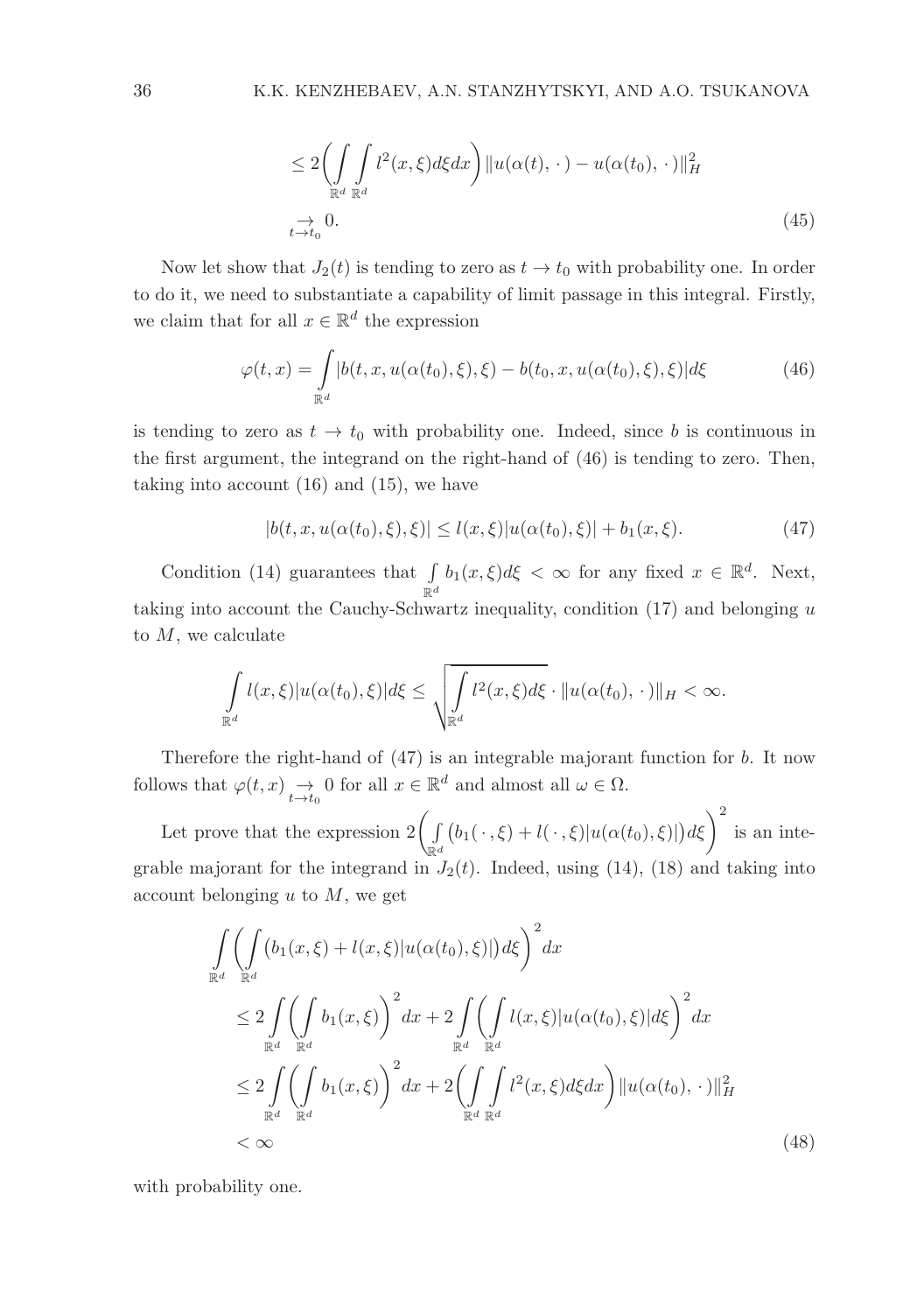$$
\leq 2\left(\int\limits_{\mathbb{R}^d} \int\limits_{\mathbb{R}^d} l^2(x,\xi) d\xi dx\right) \|u(\alpha(t),\,\cdot\,) - u(\alpha(t_0),\,\cdot\,)\|_H^2
$$
  

$$
\to 0.
$$
 (45)

Now let show that  $J_2(t)$  is tending to zero as  $t \to t_0$  with probability one. In order to do it, we need to substantiate a capability of limit passage in this integral. Firstly, we claim that for all  $x \in \mathbb{R}^d$  the expression

$$
\varphi(t,x) = \int_{\mathbb{R}^d} |b(t,x,u(\alpha(t_0),\xi),\xi) - b(t_0,x,u(\alpha(t_0),\xi),\xi)|d\xi
$$
\n(46)

is tending to zero as  $t \to t_0$  with probability one. Indeed, since b is continuous in the first argument, the integrand on the right-hand of (46) is tending to zero. Then, taking into account (16) and (15), we have

$$
|b(t, x, u(\alpha(t_0), \xi), \xi)| \le l(x, \xi)|u(\alpha(t_0), \xi)| + b_1(x, \xi). \tag{47}
$$

Condition (14) guarantees that  $\int_{\mathbb{R}^d} b_1(x,\xi)d\xi < \infty$  for any fixed  $x \in \mathbb{R}^d$ . Next, taking into account the Cauchy-Schwartz inequality, condition  $(17)$  and belonging  $u$ to  $M$ , we calculate

$$
\int_{\mathbb{R}^d} l(x,\xi) |u(\alpha(t_0),\xi)|d\xi \leq \sqrt{\int_{\mathbb{R}^d} l^2(x,\xi)d\xi} \cdot \|u(\alpha(t_0),\,\cdot\,)\|_H < \infty.
$$

Therefore the right-hand of (47) is an integrable majorant function for b. It now follows that  $\varphi(t, x) \underset{t \to t_0}{\to} 0$  for all  $x \in \mathbb{R}^d$  and almost all  $\omega \in \Omega$ .

Let prove that the expression  $2\left(\frac{1}{2}\right)$  $\mathbb{R}^d$  $(b_1(\cdot,\xi)+l(\cdot,\xi)|u(\alpha(t_0),\xi)|)d\xi\bigg)^2$  is an integrable majorant for the integrand in  $J_2(t)$ . Indeed, using (14), (18) and taking into account belonging  $u$  to  $M$ , we get

$$
\int_{\mathbb{R}^d} \left( \int_{\mathbb{R}^d} (b_1(x,\xi) + l(x,\xi)|u(\alpha(t_0),\xi)|) d\xi \right)^2 dx
$$
\n
$$
\leq 2 \int_{\mathbb{R}^d} \left( \int_{\mathbb{R}^d} b_1(x,\xi) \right)^2 dx + 2 \int_{\mathbb{R}^d} \left( \int_{\mathbb{R}^d} l(x,\xi)|u(\alpha(t_0),\xi)| d\xi \right)^2 dx
$$
\n
$$
\leq 2 \int_{\mathbb{R}^d} \left( \int_{\mathbb{R}^d} b_1(x,\xi) \right)^2 dx + 2 \left( \int_{\mathbb{R}^d} \int_{\mathbb{R}^d} l^2(x,\xi) d\xi dx \right) ||u(\alpha(t_0), \cdot)||_H^2
$$
\n
$$
< \infty
$$
\n(48)

with probability one.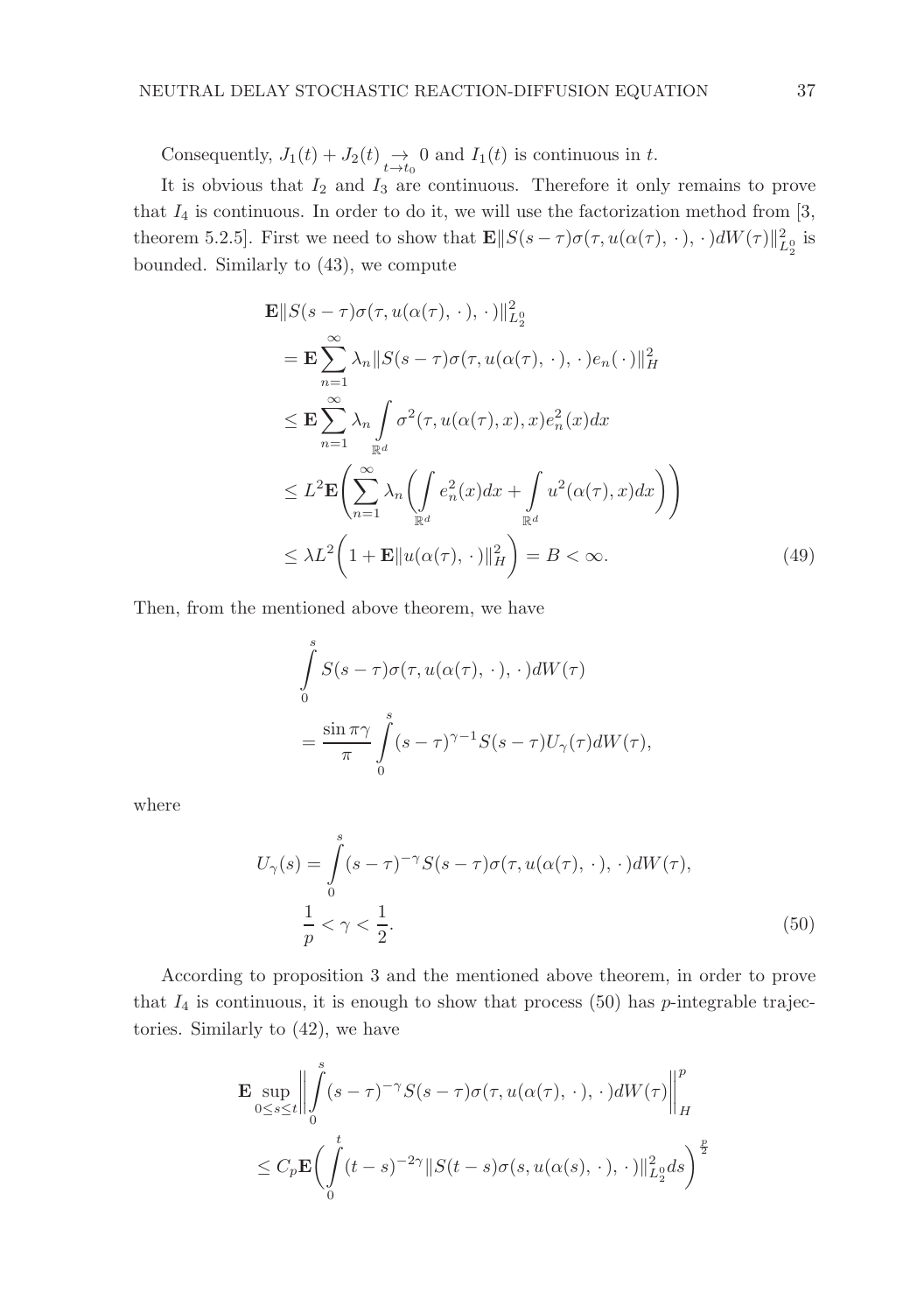Consequently,  $J_1(t) + J_2(t) \underset{t \to t_0}{\to} 0$  and  $I_1(t)$  is continuous in t.

It is obvious that  $I_2$  and  $I_3$  are continuous. Therefore it only remains to prove that  $I_4$  is continuous. In order to do it, we will use the factorization method from [3, theorem 5.2.5]. First we need to show that  $\mathbf{E} || S(s-\tau) \sigma(\tau, u(\alpha(\tau), \cdot), \cdot) dW(\tau) ||_{L_2^0}^2$  is bounded. Similarly to (43), we compute

$$
\mathbf{E}||S(s-\tau)\sigma(\tau, u(\alpha(\tau), \cdot), \cdot)||_{L_2^0}^2
$$
\n
$$
= \mathbf{E} \sum_{n=1}^{\infty} \lambda_n ||S(s-\tau)\sigma(\tau, u(\alpha(\tau), \cdot), \cdot)e_n(\cdot)||_H^2
$$
\n
$$
\leq \mathbf{E} \sum_{n=1}^{\infty} \lambda_n \int_{\mathbb{R}^d} \sigma^2(\tau, u(\alpha(\tau), x), x)e_n^2(x)dx
$$
\n
$$
\leq L^2 \mathbf{E} \left( \sum_{n=1}^{\infty} \lambda_n \left( \int_{\mathbb{R}^d} e_n^2(x)dx + \int_{\mathbb{R}^d} u^2(\alpha(\tau), x)dx \right) \right)
$$
\n
$$
\leq \lambda L^2 \left( 1 + \mathbf{E}||u(\alpha(\tau), \cdot)||_H^2 \right) = B < \infty.
$$
\n(49)

Then, from the mentioned above theorem, we have

$$
\int_{0}^{s} S(s-\tau)\sigma(\tau, u(\alpha(\tau), \cdot), \cdot)dW(\tau)
$$

$$
= \frac{\sin \pi \gamma}{\pi} \int_{0}^{s} (s-\tau)^{\gamma-1} S(s-\tau)U_{\gamma}(\tau)dW(\tau),
$$

where

$$
U_{\gamma}(s) = \int_{0}^{s} (s-\tau)^{-\gamma} S(s-\tau) \sigma(\tau, u(\alpha(\tau), \cdot), \cdot) dW(\tau),
$$
  

$$
\frac{1}{p} < \gamma < \frac{1}{2}.
$$
 (50)

According to proposition 3 and the mentioned above theorem, in order to prove that  $I_4$  is continuous, it is enough to show that process (50) has *p*-integrable trajectories. Similarly to (42), we have

$$
\mathbf{E} \sup_{0 \le s \le t} \left\| \int_{0}^{s} (s-\tau)^{-\gamma} S(s-\tau) \sigma(\tau, u(\alpha(\tau), \cdot), \cdot) dW(\tau) \right\|_{H}^{p}
$$
  

$$
\le C_{p} \mathbf{E} \Biggl( \int_{0}^{t} (t-s)^{-2\gamma} \| S(t-s) \sigma(s, u(\alpha(s), \cdot), \cdot) \|_{L_{2}^{\infty}}^{2} ds \Biggr)^{\frac{p}{2}}
$$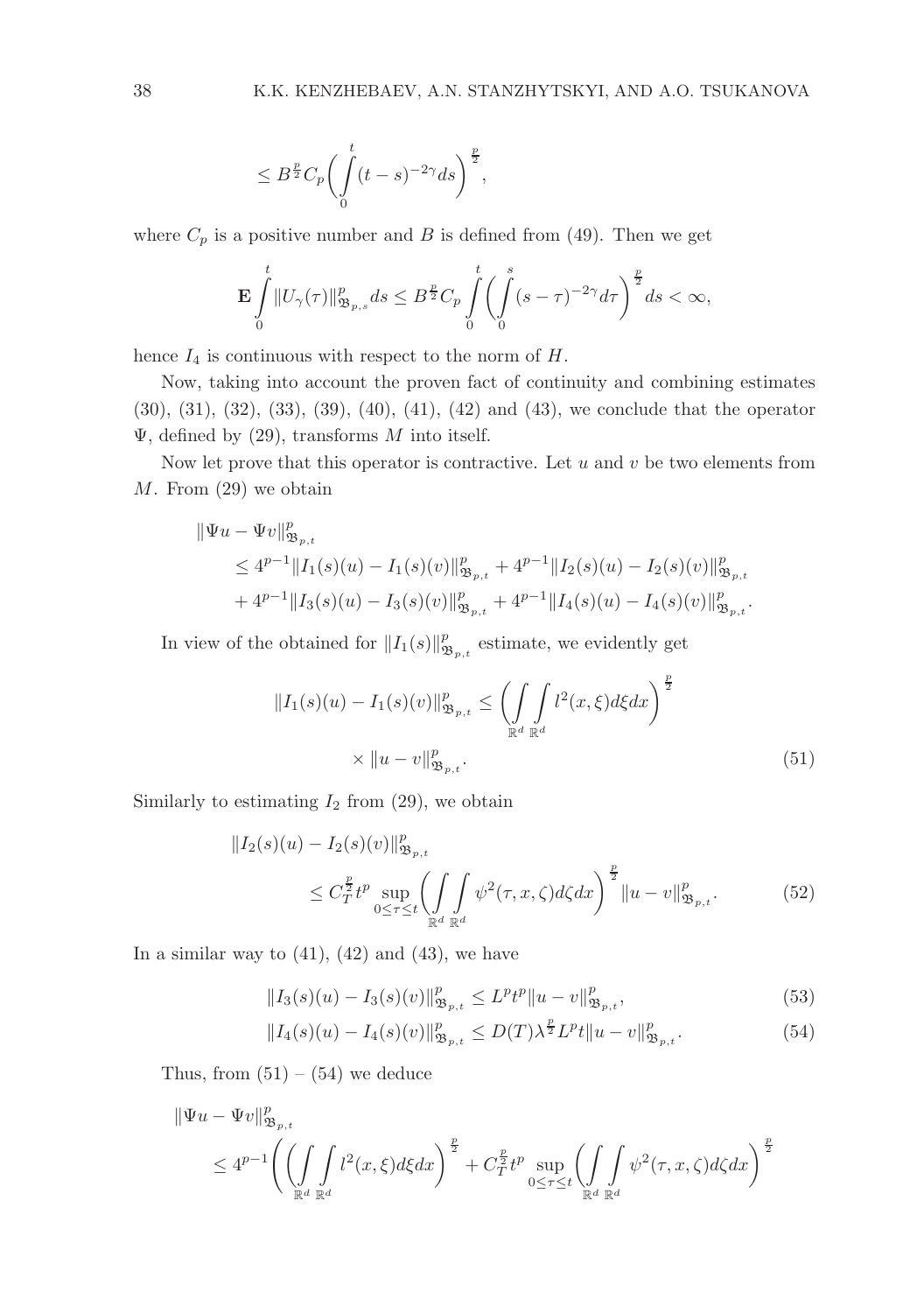$$
\leq B^{\frac{p}{2}}C_p \bigg(\int\limits_0^t (t-s)^{-2\gamma} ds\bigg)^{\frac{p}{2}}
$$

where  $C_p$  is a positive number and B is defined from (49). Then we get

$$
\mathbf{E}\int\limits_0^t\|U_\gamma(\tau)\|^p_{{\mathfrak B}_{p,s}}ds\leq B^{\frac{p}{2}}C_p\int\limits_0^t\biggl(\int\limits_0^s(s-\tau)^{-2\gamma}d\tau\biggr)^{\frac{p}{2}}ds<\infty,
$$

,

hence  $I_4$  is continuous with respect to the norm of  $H$ .

Now, taking into account the proven fact of continuity and combining estimates (30), (31), (32), (33), (39), (40), (41), (42) and (43), we conclude that the operator  $\Psi$ , defined by (29), transforms M into itself.

Now let prove that this operator is contractive. Let  $u$  and  $v$  be two elements from M. From (29) we obtain

$$
\| \Psi u - \Psi v \|_{\mathfrak{B}_{p,t}}^p
$$
  
\n
$$
\leq 4^{p-1} \| I_1(s)(u) - I_1(s)(v) \|_{\mathfrak{B}_{p,t}}^p + 4^{p-1} \| I_2(s)(u) - I_2(s)(v) \|_{\mathfrak{B}_{p,t}}^p
$$
  
\n
$$
+ 4^{p-1} \| I_3(s)(u) - I_3(s)(v) \|_{\mathfrak{B}_{p,t}}^p + 4^{p-1} \| I_4(s)(u) - I_4(s)(v) \|_{\mathfrak{B}_{p,t}}^p.
$$

In view of the obtained for  $||I_1(s)||^p_{\mathfrak{B}_{p,t}}$  estimate, we evidently get

$$
||I_{1}(s)(u) - I_{1}(s)(v)||_{\mathfrak{B}_{p,t}}^{p} \leq \left(\int_{\mathbb{R}^{d}} \int_{\mathbb{R}^{d}} l^{2}(x,\xi) d\xi dx\right)^{\frac{p}{2}} \times ||u - v||_{\mathfrak{B}_{p,t}}^{p}.
$$
\n(51)

Similarly to estimating  $I_2$  from  $(29)$ , we obtain

$$
\|I_2(s)(u) - I_2(s)(v)\|_{\mathfrak{B}_{p,t}}^p \n\leq C_T^{\frac{p}{2}} t^p \sup_{0 \leq \tau \leq t} \left( \int_{\mathbb{R}^d} \int_{\mathbb{R}^d} \psi^2(\tau, x, \zeta) d\zeta dx \right)^{\frac{p}{2}} \|u - v\|_{\mathfrak{B}_{p,t}}^p.
$$
\n(52)

In a similar way to  $(41)$ ,  $(42)$  and  $(43)$ , we have

$$
||I_3(s)(u) - I_3(s)(v)||^p_{\mathfrak{B}_{p,t}} \le L^p t^p ||u - v||^p_{\mathfrak{B}_{p,t}},
$$
\n(53)

$$
||I_4(s)(u) - I_4(s)(v)||^p_{\mathfrak{B}_{p,t}} \le D(T)\lambda^{\frac{p}{2}}L^p t ||u - v||^p_{\mathfrak{B}_{p,t}}.
$$
\n(54)

Thus, from  $(51) - (54)$  we deduce

$$
\begin{aligned} \|\Psi u - \Psi v\|_{\mathfrak{B}_{p,t}}^p \\ &\leq 4^{p-1} \Biggl(\biggl(\int\limits_{\mathbb{R}^d} \int\limits_{\mathbb{R}^d} l^2(x,\xi) d\xi dx\Biggr)^{\frac{p}{2}} + C_T^{\frac{p}{2}} t^p \sup\limits_{0 \leq \tau \leq t} \biggl(\int\limits_{\mathbb{R}^d} \int\limits_{\mathbb{R}^d} \psi^2(\tau,x,\zeta) d\zeta dx\biggr)^{\frac{p}{2}} \end{aligned}
$$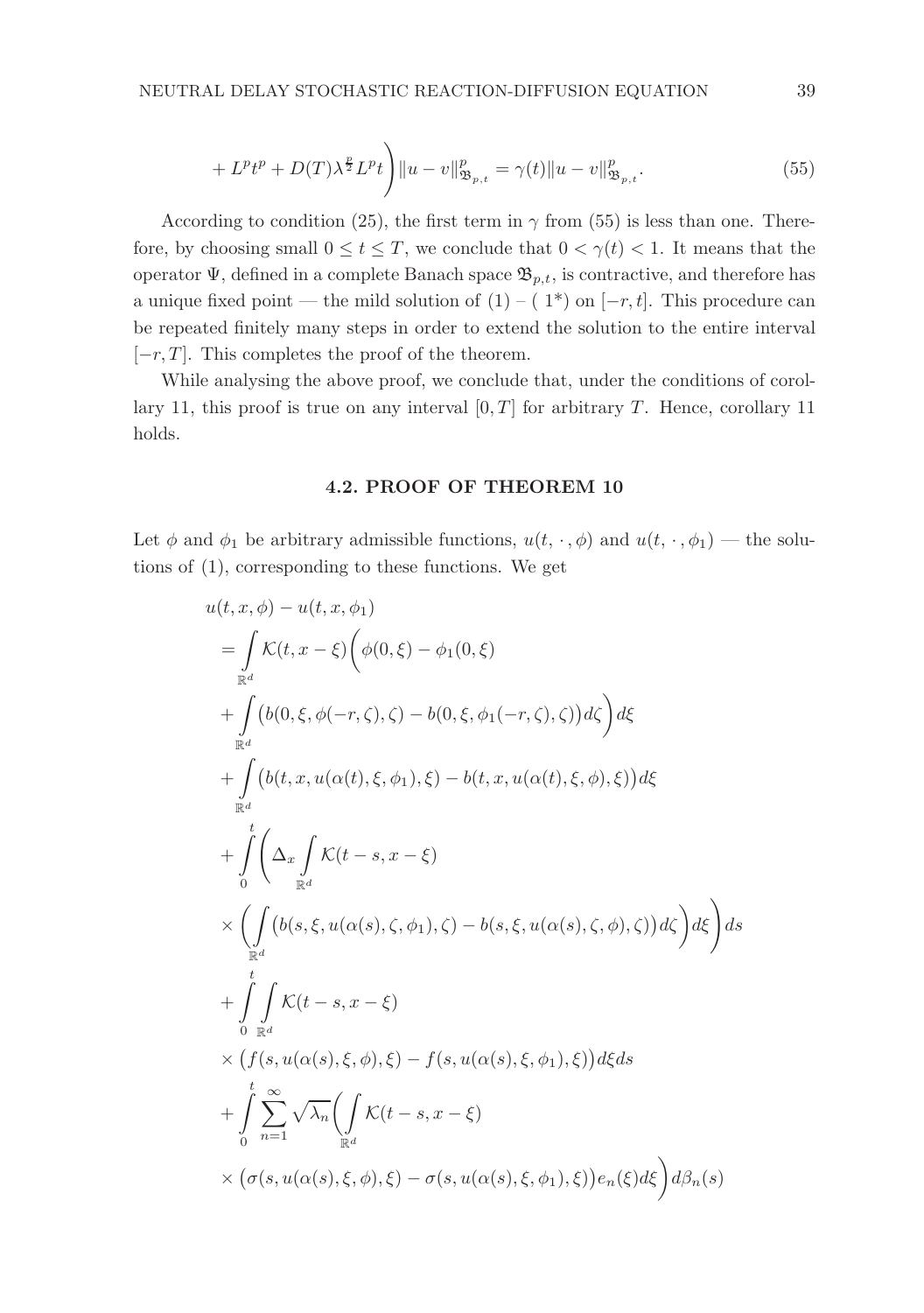$$
+ L^{p}t^{p} + D(T)\lambda^{\frac{p}{2}}L^{p}t\bigg)\|u - v\|_{\mathfrak{B}_{p,t}}^{p} = \gamma(t)\|u - v\|_{\mathfrak{B}_{p,t}}^{p}.
$$
\n(55)

According to condition (25), the first term in  $\gamma$  from (55) is less than one. Therefore, by choosing small  $0 \le t \le T$ , we conclude that  $0 < \gamma(t) < 1$ . It means that the operator  $\Psi$ , defined in a complete Banach space  $\mathfrak{B}_{p,t}$ , is contractive, and therefore has a unique fixed point — the mild solution of  $(1) - (1<sup>*</sup>)$  on  $[-r, t]$ . This procedure can be repeated finitely many steps in order to extend the solution to the entire interval  $[-r, T]$ . This completes the proof of the theorem.

While analysing the above proof, we conclude that, under the conditions of corollary 11, this proof is true on any interval  $[0, T]$  for arbitrary T. Hence, corollary 11 holds.

### 4.2. PROOF OF THEOREM 10

Let  $\phi$  and  $\phi_1$  be arbitrary admissible functions,  $u(t, \cdot, \phi)$  and  $u(t, \cdot, \phi_1)$  — the solutions of (1), corresponding to these functions. We get

$$
u(t, x, \phi) - u(t, x, \phi_1)
$$
  
\n
$$
= \int_{\mathbb{R}^d} \mathcal{K}(t, x - \xi) \left( \phi(0, \xi) - \phi_1(0, \xi) \right.
$$
  
\n
$$
+ \int_{\mathbb{R}^d} \left( b(0, \xi, \phi(-r, \zeta), \zeta) - b(0, \xi, \phi_1(-r, \zeta), \zeta) \right) d\xi
$$
  
\n
$$
+ \int_{\mathbb{R}^d} \left( b(t, x, u(\alpha(t), \xi, \phi_1), \xi) - b(t, x, u(\alpha(t), \xi, \phi), \xi) \right) d\xi
$$
  
\n
$$
+ \int_0^t \left( \Delta_x \int_{\mathbb{R}^d} \mathcal{K}(t - s, x - \xi) \right.
$$
  
\n
$$
\times \left( \int_{\mathbb{R}^d} \left( b(s, \xi, u(\alpha(s), \zeta, \phi_1), \zeta) - b(s, \xi, u(\alpha(s), \zeta, \phi), \zeta) \right) d\xi \right) ds
$$
  
\n
$$
+ \int_0^t \int_{\mathbb{R}^d} \mathcal{K}(t - s, x - \xi)
$$
  
\n
$$
\times \left( f(s, u(\alpha(s), \xi, \phi), \xi) - f(s, u(\alpha(s), \xi, \phi_1), \xi) \right) d\xi ds
$$
  
\n
$$
+ \int_0^t \sum_{n=1}^\infty \sqrt{\lambda_n} \left( \int_{\mathbb{R}^d} \mathcal{K}(t - s, x - \xi) \right.
$$
  
\n
$$
\times \left( \sigma(s, u(\alpha(s), \xi, \phi), \xi) - \sigma(s, u(\alpha(s), \xi, \phi_1), \xi) \right) e_n(\xi) d\xi \right) d\beta_n(s)
$$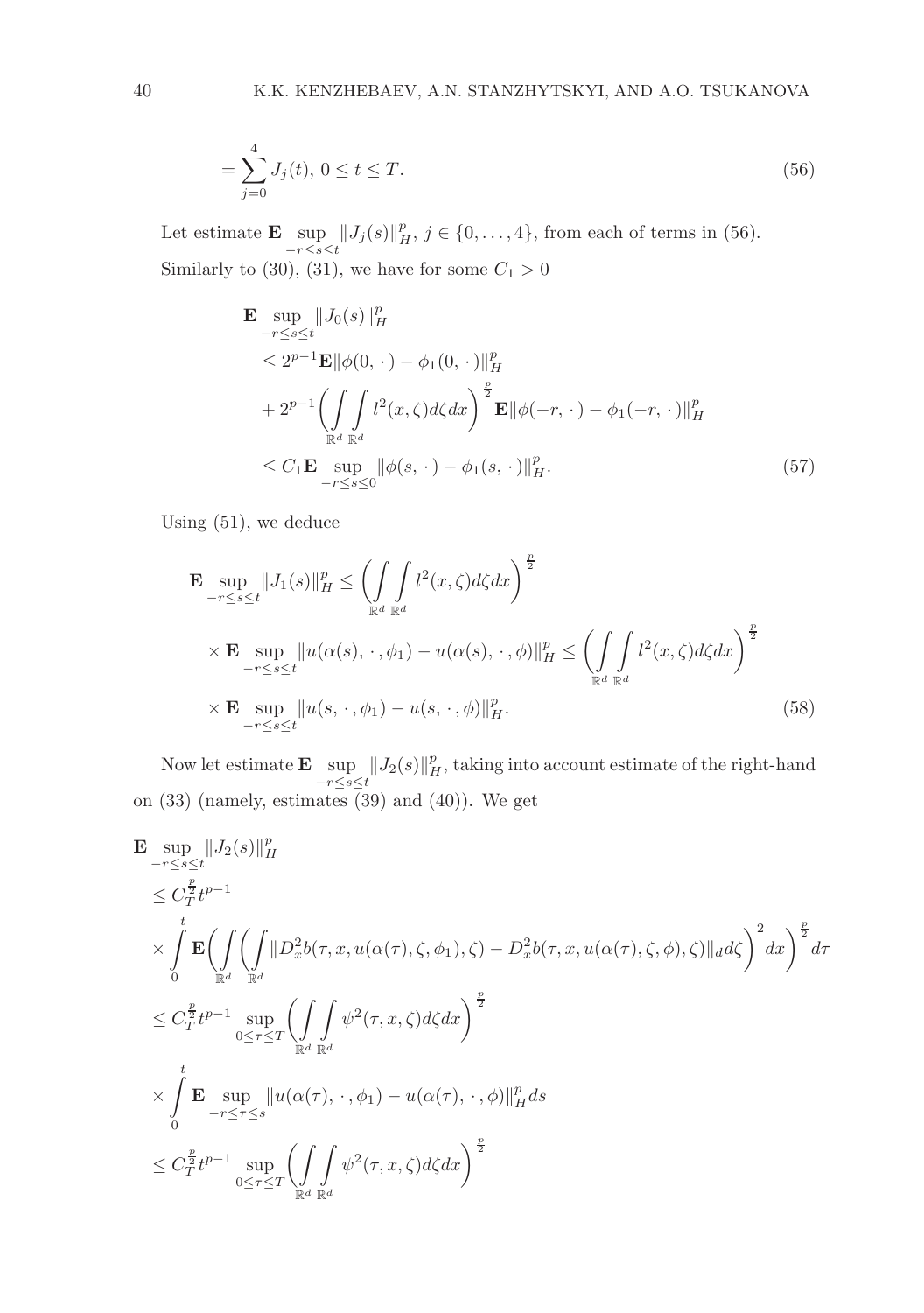$$
=\sum_{j=0}^{4} J_j(t),\ 0 \le t \le T.
$$
\n(56)

Let estimate  $\mathbf{E} \sup_{-r \leq s \leq t} ||J_j(s)||_H^p$ ,  $j \in \{0, \ldots, 4\}$ , from each of terms in (56). Similarly to (30), (31), we have for some  $C_1 > 0$ 

$$
\mathbf{E} \sup_{-r \le s \le t} \|J_0(s)\|_H^p
$$
\n
$$
\le 2^{p-1} \mathbf{E} \|\phi(0, \cdot) - \phi_1(0, \cdot)\|_H^p
$$
\n
$$
+ 2^{p-1} \left( \int_{\mathbb{R}^d} \int_{\mathbb{R}^d} l^2(x, \zeta) d\zeta dx \right)^{\frac{p}{2}} \mathbf{E} \|\phi(-r, \cdot) - \phi_1(-r, \cdot)\|_H^p
$$
\n
$$
\le C_1 \mathbf{E} \sup_{-r \le s \le 0} \|\phi(s, \cdot) - \phi_1(s, \cdot)\|_H^p. \tag{57}
$$

Using (51), we deduce

$$
\mathbf{E} \sup_{-r \le s \le t} \|J_1(s)\|_H^p \le \left(\int_{\mathbb{R}^d} \int_{\mathbb{R}^d} l^2(x,\zeta) d\zeta dx\right)^{\frac{p}{2}}\n\times \mathbf{E} \sup_{-r \le s \le t} \|u(\alpha(s), \cdot, \phi_1) - u(\alpha(s), \cdot, \phi)\|_H^p \le \left(\int_{\mathbb{R}^d} \int_{\mathbb{R}^d} l^2(x,\zeta) d\zeta dx\right)^{\frac{p}{2}}\n\times \mathbf{E} \sup_{-r \le s \le t} \|u(s, \cdot, \phi_1) - u(s, \cdot, \phi)\|_H^p.
$$
\n(58)

Now let estimate  $\mathbf{E} \sup_{-r \leq s \leq t} ||J_2(s)||_H^p$ , taking into account estimate of the right-hand on (33) (namely, estimates (39) and (40)). We get

$$
\mathbf{E} \sup_{-\tau \le s \le t} ||J_2(s)||_H^p
$$
\n
$$
\le C_T^{\frac{p}{2}} t^{p-1}
$$
\n
$$
\times \int_0^t \mathbf{E} \Biggl( \int_{\mathbb{R}^d} \Biggl( \int_{\mathbb{R}^d} ||D_x^2 b(\tau, x, u(\alpha(\tau), \zeta, \phi_1), \zeta) - D_x^2 b(\tau, x, u(\alpha(\tau), \zeta, \phi), \zeta) ||_d d\zeta \Biggr)^2 dx \Biggr)^{\frac{p}{2}} d\tau
$$
\n
$$
\le C_T^{\frac{p}{2}} t^{p-1} \sup_{0 \le \tau \le T} \Biggl( \int_{\mathbb{R}^d} \int_{\mathbb{R}^d} \psi^2(\tau, x, \zeta) d\zeta dx \Biggr)^{\frac{p}{2}}
$$
\n
$$
\times \int_0^t \mathbf{E} \sup_{-\tau \le \tau \le s} ||u(\alpha(\tau), \cdot, \phi_1) - u(\alpha(\tau), \cdot, \phi)||_H^p ds
$$
\n
$$
\le C_T^{\frac{p}{2}} t^{p-1} \sup_{0 \le \tau \le T} \Biggl( \int_{\mathbb{R}^d} \int_{\mathbb{R}^d} \psi^2(\tau, x, \zeta) d\zeta dx \Biggr)^{\frac{p}{2}}
$$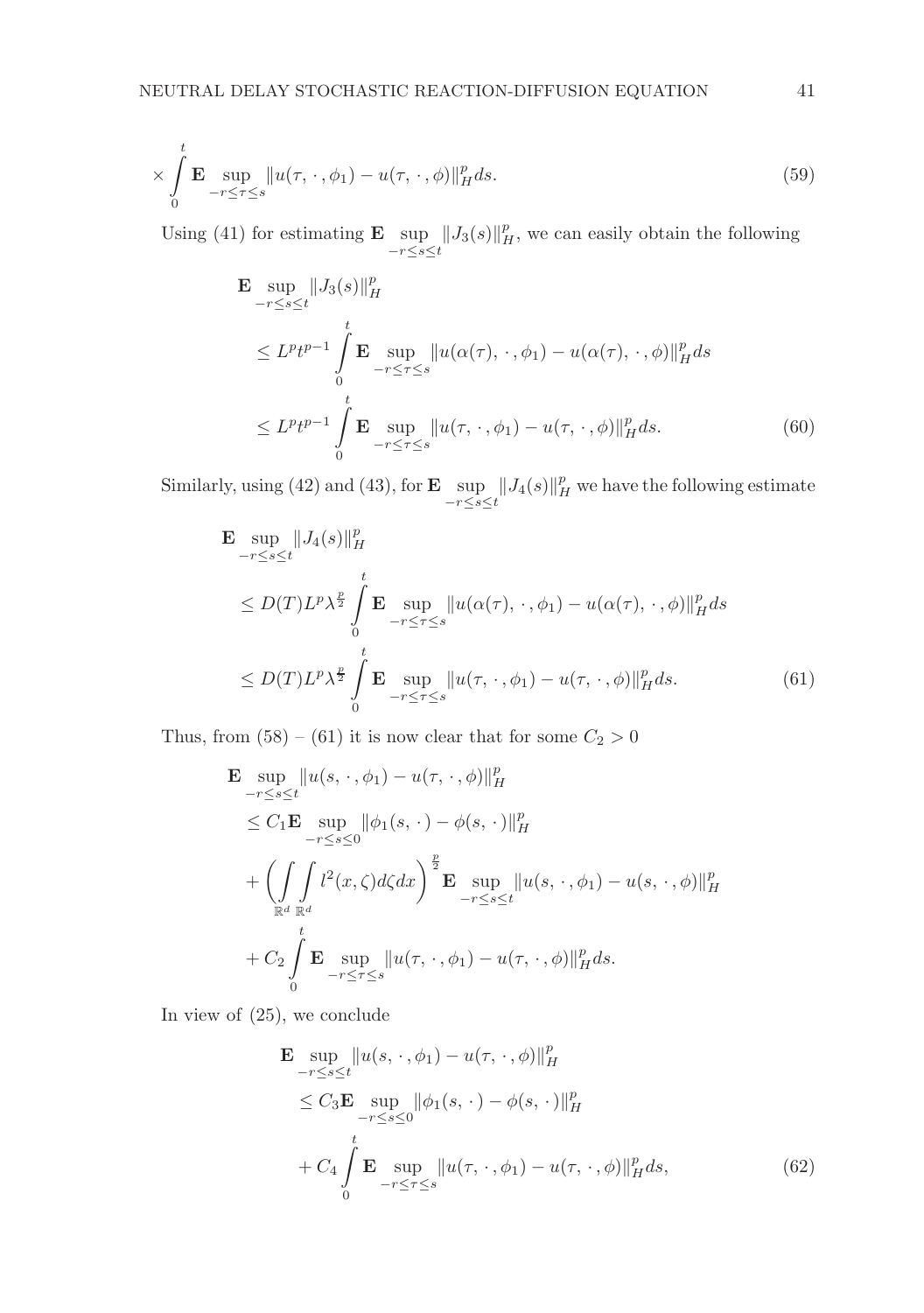$$
\times \int_{0}^{t} \mathbf{E} \sup_{-r \leq \tau \leq s} ||u(\tau, \cdot, \phi_1) - u(\tau, \cdot, \phi)||_{H}^{p} ds. \tag{59}
$$

Using (41) for estimating **E**  $\sup_{-r \leq s \leq t} ||J_3(s)||_H^p$ , we can easily obtain the following

$$
\mathbf{E} \sup_{-\tau \le s \le t} \|J_3(s)\|_{H}^p
$$
\n
$$
\le L^p t^{p-1} \int_0^t \mathbf{E} \sup_{-\tau \le \tau \le s} \|u(\alpha(\tau), \cdot, \phi_1) - u(\alpha(\tau), \cdot, \phi)\|_{H}^p ds
$$
\n
$$
\le L^p t^{p-1} \int_0^t \mathbf{E} \sup_{-\tau \le \tau \le s} \|u(\tau, \cdot, \phi_1) - u(\tau, \cdot, \phi)\|_{H}^p ds. \tag{60}
$$

Similarly, using (42) and (43), for **E**  $\sup_{-r \leq s \leq t} ||J_4(s)||_H^p$  we have the following estimate

$$
\mathbf{E} \sup_{-\tau \le s \le t} \|J_4(s)\|_{H}^p
$$
\n
$$
\le D(T)L^p \lambda^{\frac{p}{2}} \int_{0}^t \mathbf{E} \sup_{-\tau \le \tau \le s} \|u(\alpha(\tau), \cdot, \phi_1) - u(\alpha(\tau), \cdot, \phi)\|_{H}^p ds
$$
\n
$$
\le D(T)L^p \lambda^{\frac{p}{2}} \int_{0}^t \mathbf{E} \sup_{-\tau \le \tau \le s} \|u(\tau, \cdot, \phi_1) - u(\tau, \cdot, \phi)\|_{H}^p ds. \tag{61}
$$

Thus, from  $(58) - (61)$  it is now clear that for some  $C_2 > 0$ 

$$
\mathbf{E} \sup_{-r \le s \le t} ||u(s, \cdot, \phi_1) - u(\tau, \cdot, \phi)||_H^p
$$
\n
$$
\le C_1 \mathbf{E} \sup_{-r \le s \le 0} ||\phi_1(s, \cdot) - \phi(s, \cdot)||_H^p
$$
\n
$$
+ \left( \int \int \int_{\mathbb{R}^d} l^2(x, \zeta) d\zeta dx \right)^{\frac{p}{2}} \mathbf{E} \sup_{-r \le s \le t} ||u(s, \cdot, \phi_1) - u(s, \cdot, \phi)||_H^p
$$
\n
$$
+ C_2 \int \limits_0^t \mathbf{E} \sup_{-r \le \tau \le s} ||u(\tau, \cdot, \phi_1) - u(\tau, \cdot, \phi)||_H^p ds.
$$

In view of (25), we conclude

$$
\mathbf{E} \sup_{-\tau \le s \le t} \|u(s, \cdot, \phi_1) - u(\tau, \cdot, \phi)\|_{H}^{p}
$$
\n
$$
\le C_3 \mathbf{E} \sup_{-\tau \le s \le 0} \|\phi_1(s, \cdot) - \phi(s, \cdot)\|_{H}^{p}
$$
\n
$$
+ C_4 \int_{0}^{t} \mathbf{E} \sup_{-\tau \le \tau \le s} \|u(\tau, \cdot, \phi_1) - u(\tau, \cdot, \phi)\|_{H}^{p} ds,
$$
\n(62)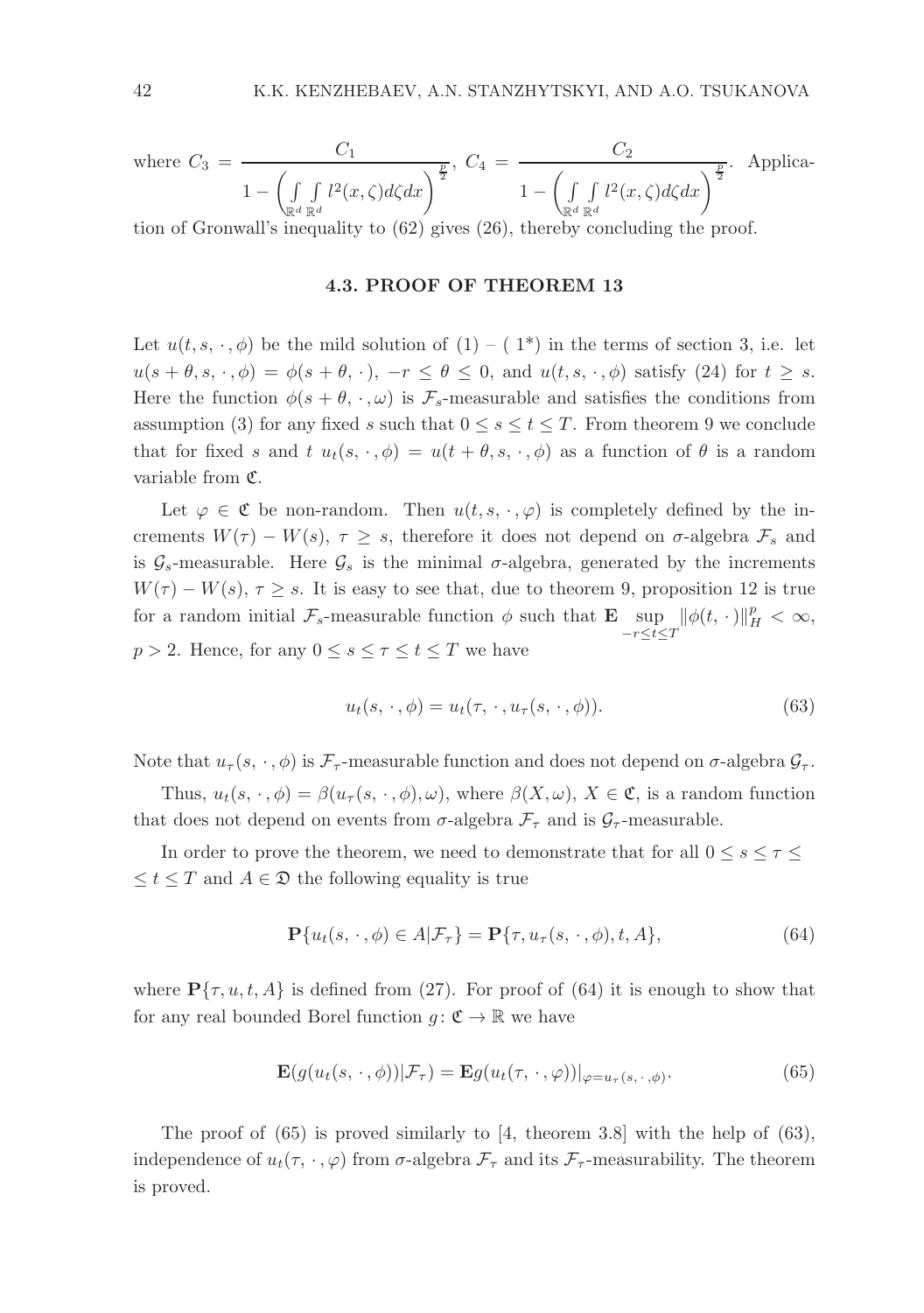where 
$$
C_3 = \frac{C_1}{1 - \left(\int\limits_{\mathbb{R}^d} \int\limits_{\mathbb{R}^d} l^2(x,\zeta) d\zeta dx\right)^{\frac{p}{2}}}
$$
,  $C_4 = \frac{C_2}{1 - \left(\int\limits_{\mathbb{R}^d} \int\limits_{\mathbb{R}^d} l^2(x,\zeta) d\zeta dx\right)^{\frac{p}{2}}}$ . Application of Gronwall's inequality to (62) gives (26), thereby concluding the proof.

#### 4.3. PROOF OF THEOREM 13

Let  $u(t, s, \cdot, \phi)$  be the mild solution of  $(1) - (1^*)$  in the terms of section 3, i.e. let  $u(s + \theta, s, \cdot, \phi) = \phi(s + \theta, \cdot), -r \leq \theta \leq 0$ , and  $u(t, s, \cdot, \phi)$  satisfy (24) for  $t \geq s$ . Here the function  $\phi(s + \theta, \cdot, \omega)$  is  $\mathcal{F}_s$ -measurable and satisfies the conditions from assumption (3) for any fixed s such that  $0 \leq s \leq t \leq T$ . From theorem 9 we conclude that for fixed s and t  $u_t(s, \cdot, \phi) = u(t + \theta, s, \cdot, \phi)$  as a function of  $\theta$  is a random variable from C.

Let  $\varphi \in \mathfrak{C}$  be non-random. Then  $u(t, s, \cdot, \varphi)$  is completely defined by the increments  $W(\tau) - W(s), \tau \geq s$ , therefore it does not depend on  $\sigma$ -algebra  $\mathcal{F}_s$  and is  $\mathcal{G}_s$ -measurable. Here  $\mathcal{G}_s$  is the minimal  $\sigma$ -algebra, generated by the increments  $W(\tau) - W(s), \tau \geq s$ . It is easy to see that, due to theorem 9, proposition 12 is true for a random initial  $\mathcal{F}_s$ -measurable function  $\phi$  such that  $\mathbf{E} \sup_{-r \leq t \leq T} ||\phi(t, \cdot)||_H^p < \infty$ ,  $p > 2$ . Hence, for any  $0 \leq s \leq \tau \leq t \leq T$  we have

$$
u_t(s, \cdot, \phi) = u_t(\tau, \cdot, u_\tau(s, \cdot, \phi)). \tag{63}
$$

Note that  $u_{\tau}(s, \cdot, \phi)$  is  $\mathcal{F}_{\tau}$ -measurable function and does not depend on  $\sigma$ -algebra  $\mathcal{G}_{\tau}$ .

Thus,  $u_t(s, \cdot, \phi) = \beta(u_\tau(s, \cdot, \phi), \omega)$ , where  $\beta(X, \omega), X \in \mathfrak{C}$ , is a random function that does not depend on events from  $\sigma$ -algebra  $\mathcal{F}_{\tau}$  and is  $\mathcal{G}_{\tau}$ -measurable.

In order to prove the theorem, we need to demonstrate that for all  $0 \leq s \leq \tau \leq$  $\leq t \leq T$  and  $A \in \mathfrak{D}$  the following equality is true

$$
\mathbf{P}\{u_t(s,\cdot,\phi)\in A|\mathcal{F}_\tau\} = \mathbf{P}\{\tau, u_\tau(s,\cdot,\phi), t, A\},\tag{64}
$$

where  $\mathbf{P}\{\tau, u, t, A\}$  is defined from (27). For proof of (64) it is enough to show that for any real bounded Borel function  $g: \mathfrak{C} \to \mathbb{R}$  we have

$$
\mathbf{E}(g(u_t(s,\cdot,\phi))|\mathcal{F}_\tau) = \mathbf{E}g(u_t(\tau,\cdot,\varphi))|_{\varphi=u_\tau(s,\cdot,\phi)}.\tag{65}
$$

The proof of  $(65)$  is proved similarly to [4, theorem 3.8] with the help of  $(63)$ , independence of  $u_t(\tau, \cdot, \varphi)$  from  $\sigma$ -algebra  $\mathcal{F}_{\tau}$  and its  $\mathcal{F}_{\tau}$ -measurability. The theorem is proved.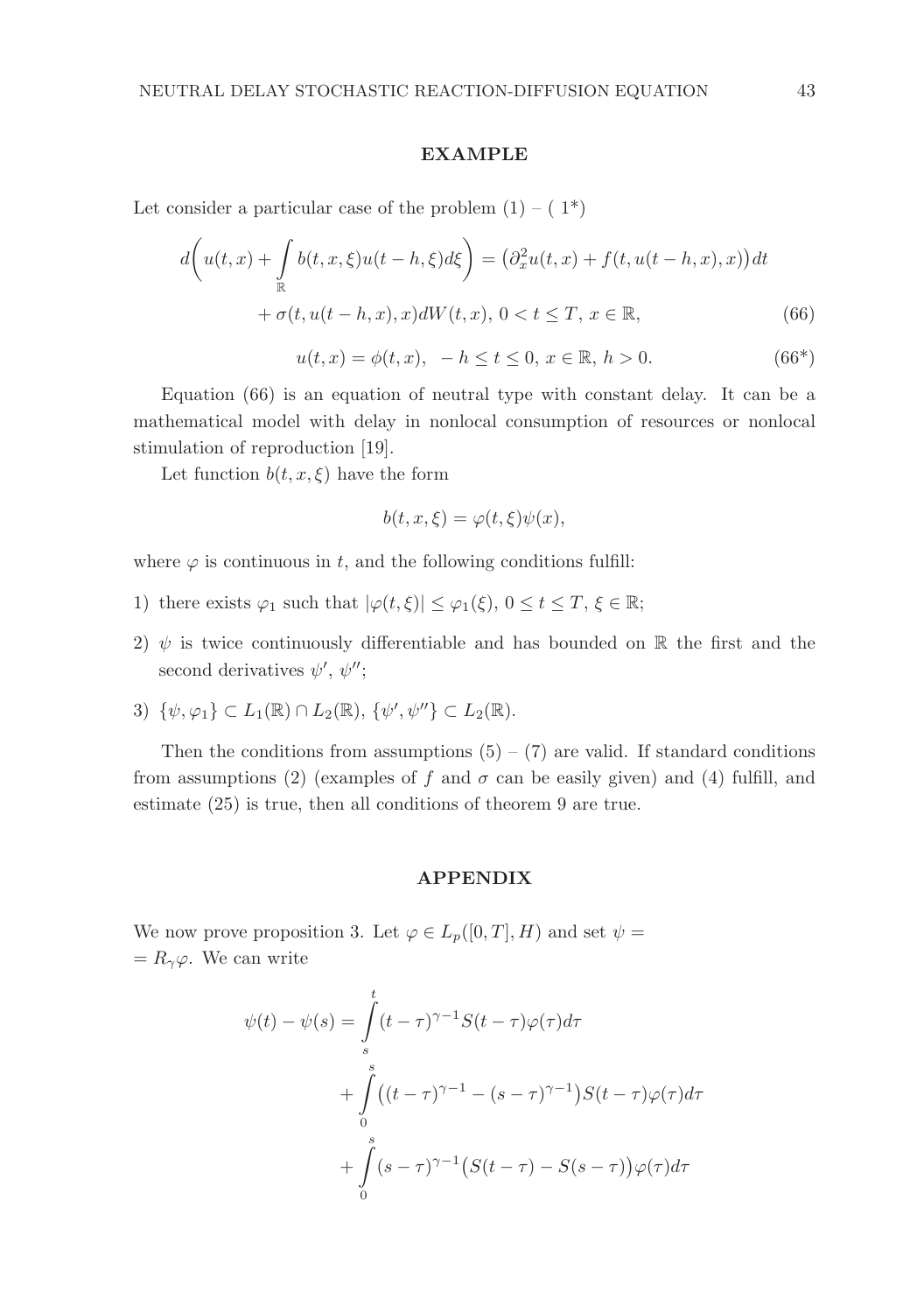#### **EXAMPLE**

Let consider a particular case of the problem  $(1) - (1^*)$ 

$$
d\left(u(t,x) + \int_{\mathbb{R}} b(t,x,\xi)u(t-h,\xi)d\xi\right) = \left(\partial_x^2 u(t,x) + f(t,u(t-h,x),x)\right)dt
$$

$$
+ \sigma(t,u(t-h,x),x)dW(t,x), \ 0 < t \leq T, \ x \in \mathbb{R},\tag{66}
$$

 $u(t, x) = \phi(t, x), -h \le t \le 0, x \in \mathbb{R}, h > 0.$  (66\*)

Equation (66) is an equation of neutral type with constant delay. It can be a mathematical model with delay in nonlocal consumption of resources or nonlocal stimulation of reproduction [19].

Let function  $b(t, x, \xi)$  have the form

$$
b(t, x, \xi) = \varphi(t, \xi)\psi(x),
$$

where  $\varphi$  is continuous in t, and the following conditions fulfill:

- 1) there exists  $\varphi_1$  such that  $|\varphi(t,\xi)| \leq \varphi_1(\xi)$ ,  $0 \leq t \leq T$ ,  $\xi \in \mathbb{R}$ ;
- 2)  $\psi$  is twice continuously differentiable and has bounded on R the first and the second derivatives  $\psi', \psi''$ ;
- 3)  $\{\psi, \varphi_1\} \subset L_1(\mathbb{R}) \cap L_2(\mathbb{R}), \{\psi', \psi''\} \subset L_2(\mathbb{R}).$

Then the conditions from assumptions  $(5) - (7)$  are valid. If standard conditions from assumptions (2) (examples of f and  $\sigma$  can be easily given) and (4) fulfill, and estimate (25) is true, then all conditions of theorem 9 are true.

# APPENDIX

We now prove proposition 3. Let  $\varphi \in L_p([0,T], H)$  and set  $\psi =$  $= R_{\gamma} \varphi$ . We can write

$$
\psi(t) - \psi(s) = \int_{s}^{t} (t - \tau)^{\gamma - 1} S(t - \tau) \varphi(\tau) d\tau
$$

$$
+ \int_{0}^{s} ((t - \tau)^{\gamma - 1} - (s - \tau)^{\gamma - 1}) S(t - \tau) \varphi(\tau) d\tau
$$

$$
+ \int_{0}^{s} (s - \tau)^{\gamma - 1} (S(t - \tau) - S(s - \tau)) \varphi(\tau) d\tau
$$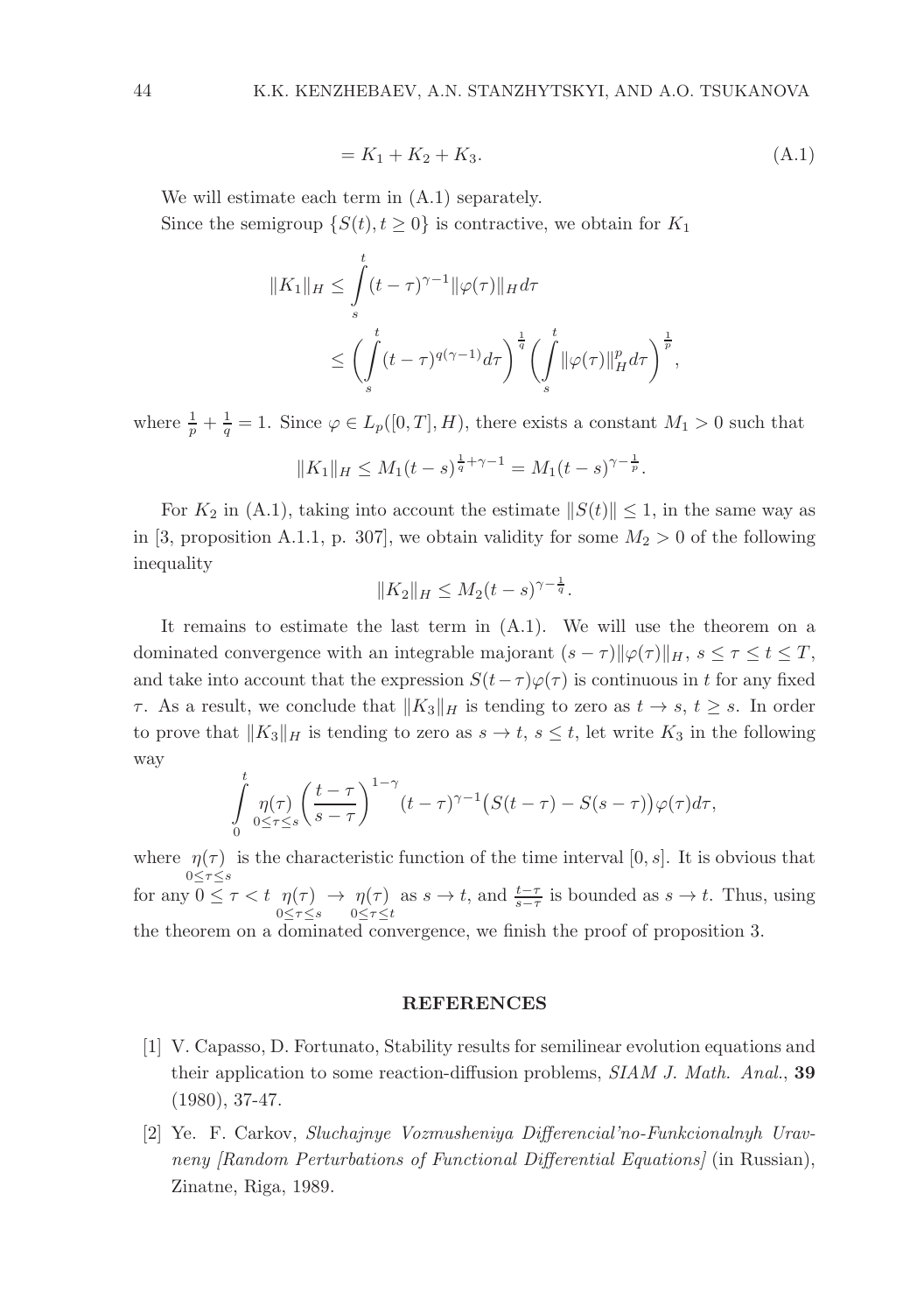$$
= K_1 + K_2 + K_3. \tag{A.1}
$$

We will estimate each term in (A.1) separately.

Since the semigroup  $\{S(t), t \geq 0\}$  is contractive, we obtain for  $K_1$ 

$$
||K_1||_H \leq \int_s^t (t-\tau)^{\gamma-1} ||\varphi(\tau)||_H d\tau
$$
  

$$
\leq \left(\int_s^t (t-\tau)^{q(\gamma-1)} d\tau\right)^{\frac{1}{q}} \left(\int_s^t ||\varphi(\tau)||_H^p d\tau\right)^{\frac{1}{p}},
$$

where  $\frac{1}{p} + \frac{1}{q} = 1$ . Since  $\varphi \in L_p([0,T], H)$ , there exists a constant  $M_1 > 0$  such that

$$
||K_1||_H \le M_1(t-s)^{\frac{1}{q}+\gamma-1} = M_1(t-s)^{\gamma-\frac{1}{p}}.
$$

For  $K_2$  in (A.1), taking into account the estimate  $||S(t)|| \leq 1$ , in the same way as in [3, proposition A.1.1, p. 307], we obtain validity for some  $M_2 > 0$  of the following inequality

$$
||K_2||_H \le M_2(t-s)^{\gamma - \frac{1}{q}}.
$$

It remains to estimate the last term in (A.1). We will use the theorem on a dominated convergence with an integrable majorant  $(s - \tau)$  $\|\varphi(\tau)\|_H$ ,  $s \leq \tau \leq t \leq T$ , and take into account that the expression  $S(t-\tau)\varphi(\tau)$  is continuous in t for any fixed τ. As a result, we conclude that  $||K_3||_H$  is tending to zero as  $t → s, t ≥ s$ . In order to prove that  $||K_3||_H$  is tending to zero as  $s \to t$ ,  $s \leq t$ , let write  $K_3$  in the following way

$$
\int_{0}^{t} \eta(\tau) \left( \frac{t-\tau}{s-\tau} \right)^{1-\gamma} (t-\tau)^{\gamma-1} \left( S(t-\tau) - S(s-\tau) \right) \varphi(\tau) d\tau,
$$

where  $\eta(\tau)$  is the characteristic function of the time interval [0, s]. It is obvious that 0≤τ≤s for any  $0 \leq \tau < t \eta(\tau)$  $0 \leq \tau \leq s$  $\rightarrow \eta(\tau)$  $0 \leq \tau \leq t$ as  $s \to t$ , and  $\frac{t-\tau}{s-\tau}$  is bounded as  $s \to t$ . Thus, using the theorem on a dominated convergence, we finish the proof of proposition 3.

#### REFERENCES

- [1] V. Capasso, D. Fortunato, Stability results for semilinear evolution equations and their application to some reaction-diffusion problems, SIAM J. Math. Anal., 39 (1980), 37-47.
- [2] Ye. F. Carkov, Sluchajnye Vozmusheniya Differencial'no-Funkcionalnyh Uravneny *[Random Perturbations of Functional Differential Equations]* (in Russian), Zinatne, Riga, 1989.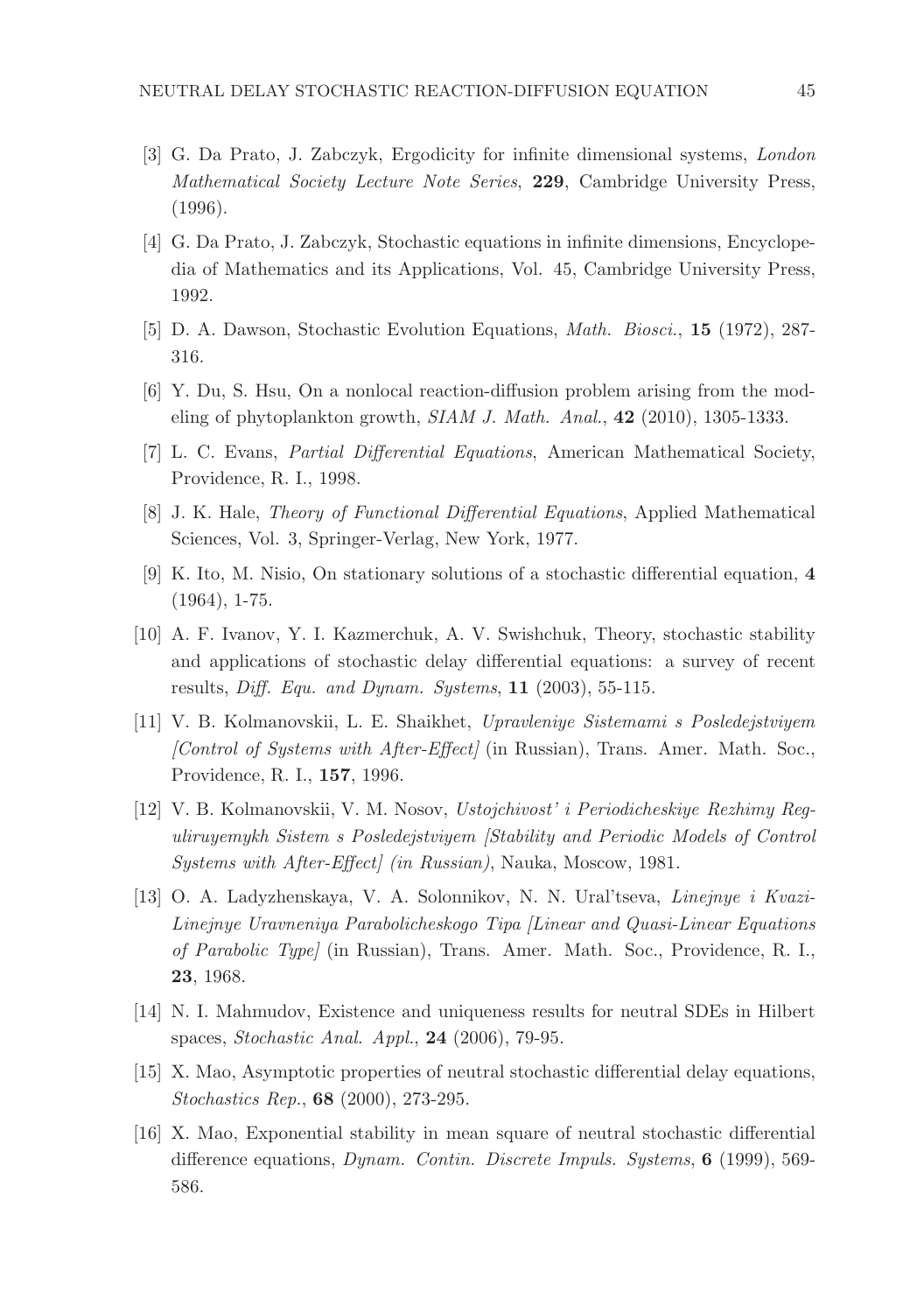- [3] G. Da Prato, J. Zabczyk, Ergodicity for infinite dimensional systems, London Mathematical Society Lecture Note Series, 229, Cambridge University Press, (1996).
- [4] G. Da Prato, J. Zabczyk, Stochastic equations in infinite dimensions, Encyclopedia of Mathematics and its Applications, Vol. 45, Cambridge University Press, 1992.
- [5] D. A. Dawson, Stochastic Evolution Equations, Math. Biosci., 15 (1972), 287- 316.
- [6] Y. Du, S. Hsu, On a nonlocal reaction-diffusion problem arising from the modeling of phytoplankton growth, SIAM J. Math. Anal., 42 (2010), 1305-1333.
- [7] L. C. Evans, Partial Differential Equations, American Mathematical Society, Providence, R. I., 1998.
- [8] J. K. Hale, Theory of Functional Differential Equations, Applied Mathematical Sciences, Vol. 3, Springer-Verlag, New York, 1977.
- [9] K. Ito, M. Nisio, On stationary solutions of a stochastic differential equation, 4 (1964), 1-75.
- [10] A. F. Ivanov, Y. I. Kazmerchuk, A. V. Swishchuk, Theory, stochastic stability and applications of stochastic delay differential equations: a survey of recent results, Diff. Equ. and Dynam. Systems, 11 (2003), 55-115.
- [11] V. B. Kolmanovskii, L. E. Shaikhet, Upravleniye Sistemami s Posledejstviyem [Control of Systems with After-Effect] (in Russian), Trans. Amer. Math. Soc., Providence, R. I., 157, 1996.
- [12] V. B. Kolmanovskii, V. M. Nosov, Ustojchivost' i Periodicheskiye Rezhimy Reguliruyemykh Sistem s Posledejstviyem [Stability and Periodic Models of Control Systems with After-Effect] (in Russian), Nauka, Moscow, 1981.
- [13] O. A. Ladyzhenskaya, V. A. Solonnikov, N. N. Ural'tseva, Linejnye i Kvazi-Linejnye Uravneniya Parabolicheskogo Tipa [Linear and Quasi-Linear Equations of Parabolic Type] (in Russian), Trans. Amer. Math. Soc., Providence, R. I., 23, 1968.
- [14] N. I. Mahmudov, Existence and uniqueness results for neutral SDEs in Hilbert spaces, Stochastic Anal. Appl., 24 (2006), 79-95.
- [15] X. Mao, Asymptotic properties of neutral stochastic differential delay equations, Stochastics Rep., 68 (2000), 273-295.
- [16] X. Mao, Exponential stability in mean square of neutral stochastic differential difference equations, *Dynam. Contin. Discrete Impuls. Systems*, **6** (1999), 569-586.